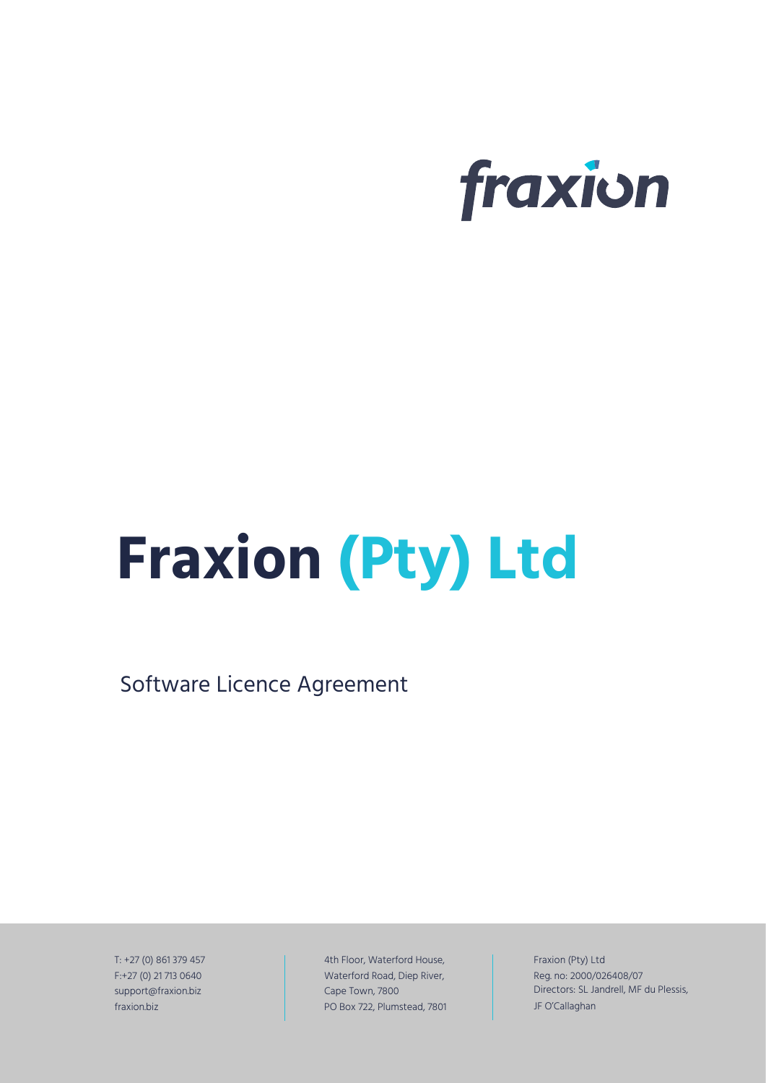

# **Fraxion (Pty) Ltd**

Software Licence Agreement

T: +27 (0) 861 379 457 F:+27 (0) 21 713 0640 support@fraxion.biz fraxion.biz

4th Floor, Waterford House, Waterford Road, Diep River, Cape Town, 7800 PO Box 722, Plumstead, 7801 Fraxion (Pty) Ltd Reg. no: 2000/026408/07 Directors: SL Jandrell, MF du Plessis, JF O'Callaghan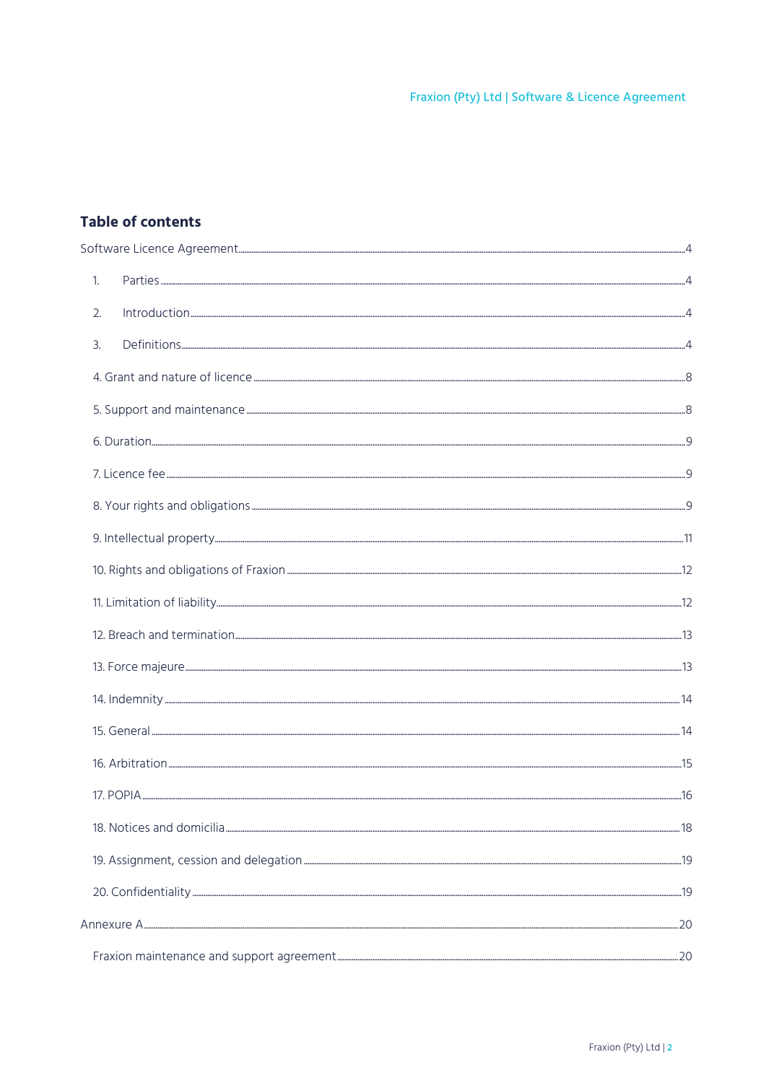# Table of contents

| $\mathbf{1}$ .                                                                                                                                                                                                                                                                                                                                                                                                                                                                                   |  |
|--------------------------------------------------------------------------------------------------------------------------------------------------------------------------------------------------------------------------------------------------------------------------------------------------------------------------------------------------------------------------------------------------------------------------------------------------------------------------------------------------|--|
| 2.<br>$\lvert \text{n} \text{troduction} \rvert_{\text{}} \rvert_{\text{}} \rvert_{\text{}} \rvert_{\text{}} \rvert_{\text{}} \rvert_{\text{}} \rvert_{\text{}} \rvert_{\text{}} \rvert_{\text{}} \rvert_{\text{}} \rvert_{\text{}} \rvert_{\text{}} \rvert_{\text{}} \rvert_{\text{}} \rvert_{\text{}} \rvert_{\text{}} \rvert_{\text{}} \rvert_{\text{}} \rvert_{\text{}} \rvert_{\text{}} \rvert_{\text{}} \rvert_{\text{}} \rvert_{\text{}} \rvert_{\text{}} \rvert_{\text{}} \rvert_{\text$ |  |
| $\overline{3}$ .                                                                                                                                                                                                                                                                                                                                                                                                                                                                                 |  |
|                                                                                                                                                                                                                                                                                                                                                                                                                                                                                                  |  |
|                                                                                                                                                                                                                                                                                                                                                                                                                                                                                                  |  |
|                                                                                                                                                                                                                                                                                                                                                                                                                                                                                                  |  |
|                                                                                                                                                                                                                                                                                                                                                                                                                                                                                                  |  |
|                                                                                                                                                                                                                                                                                                                                                                                                                                                                                                  |  |
|                                                                                                                                                                                                                                                                                                                                                                                                                                                                                                  |  |
|                                                                                                                                                                                                                                                                                                                                                                                                                                                                                                  |  |
|                                                                                                                                                                                                                                                                                                                                                                                                                                                                                                  |  |
|                                                                                                                                                                                                                                                                                                                                                                                                                                                                                                  |  |
|                                                                                                                                                                                                                                                                                                                                                                                                                                                                                                  |  |
|                                                                                                                                                                                                                                                                                                                                                                                                                                                                                                  |  |
|                                                                                                                                                                                                                                                                                                                                                                                                                                                                                                  |  |
|                                                                                                                                                                                                                                                                                                                                                                                                                                                                                                  |  |
|                                                                                                                                                                                                                                                                                                                                                                                                                                                                                                  |  |
|                                                                                                                                                                                                                                                                                                                                                                                                                                                                                                  |  |
|                                                                                                                                                                                                                                                                                                                                                                                                                                                                                                  |  |
|                                                                                                                                                                                                                                                                                                                                                                                                                                                                                                  |  |
|                                                                                                                                                                                                                                                                                                                                                                                                                                                                                                  |  |
|                                                                                                                                                                                                                                                                                                                                                                                                                                                                                                  |  |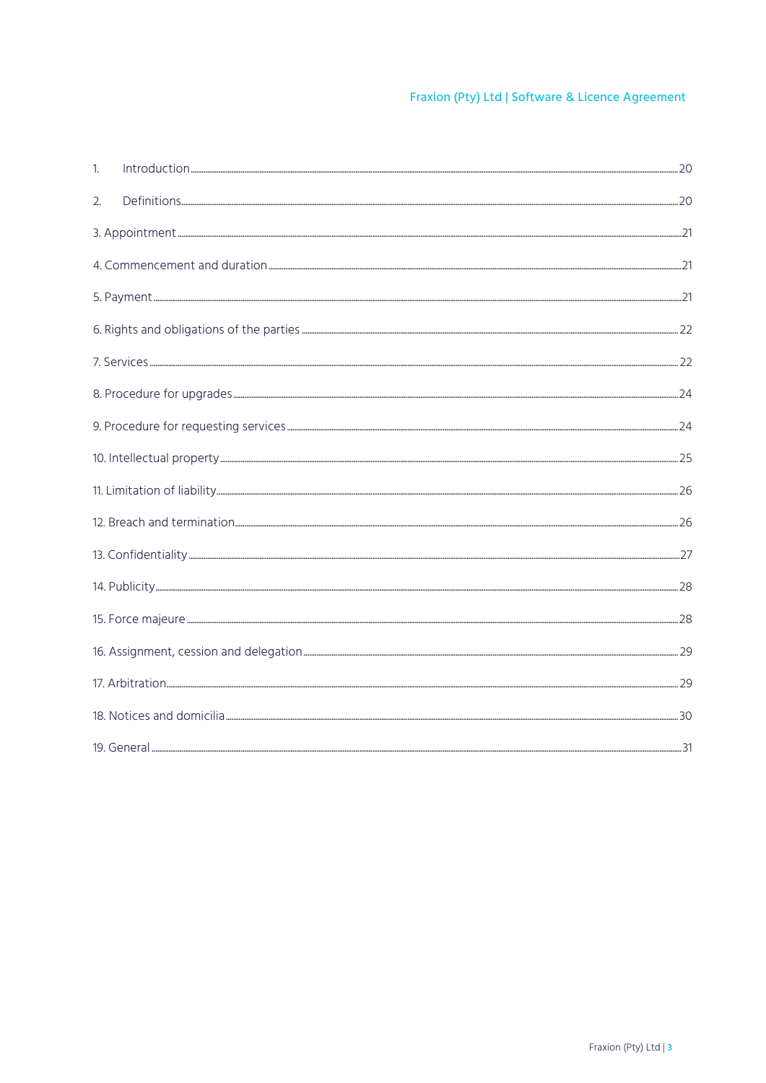| 1. |  |
|----|--|
| 2. |  |
|    |  |
|    |  |
|    |  |
|    |  |
|    |  |
|    |  |
|    |  |
|    |  |
|    |  |
|    |  |
|    |  |
|    |  |
|    |  |
|    |  |
|    |  |
|    |  |
|    |  |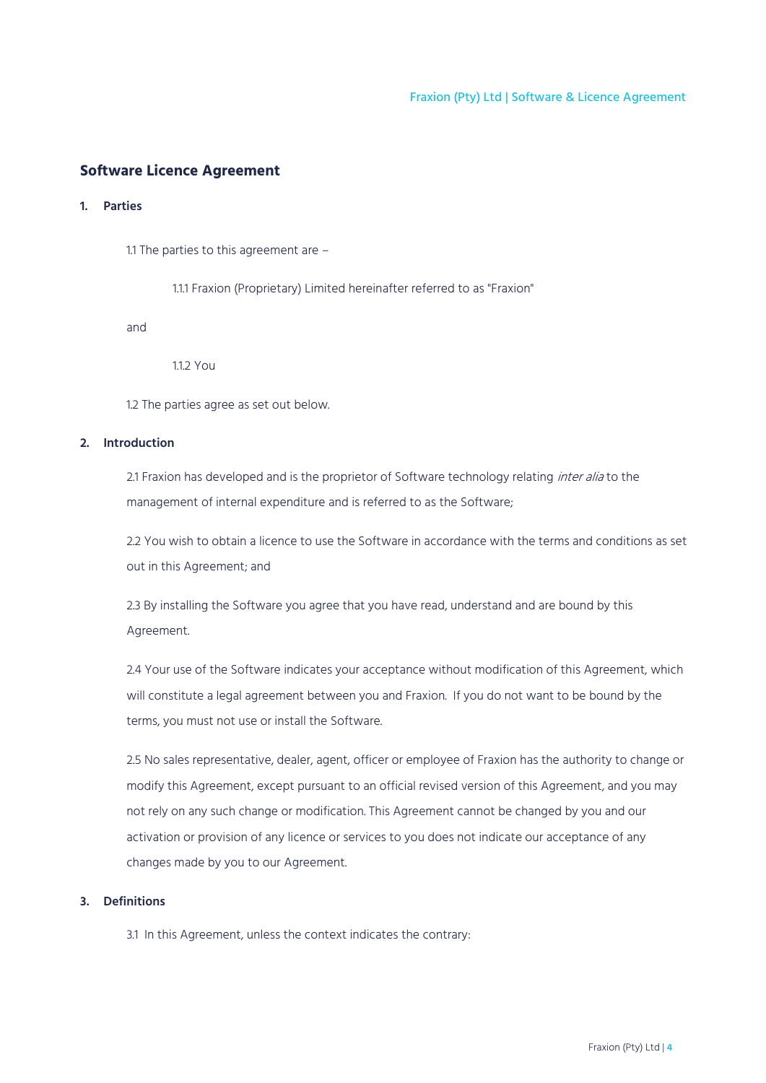## <span id="page-3-0"></span>**Software Licence Agreement**

## <span id="page-3-1"></span>**1. Parties**

1.1 The parties to this agreement are –

1.1.1 Fraxion (Proprietary) Limited hereinafter referred to as "Fraxion"

and

112 You

1.2 The parties agree as set out below.

## <span id="page-3-2"></span>**2. Introduction**

2.1 Fraxion has developed and is the proprietor of Software technology relating inter alia to the management of internal expenditure and is referred to as the Software;

2.2 You wish to obtain a licence to use the Software in accordance with the terms and conditions as set out in this Agreement; and

2.3 By installing the Software you agree that you have read, understand and are bound by this Agreement.

2.4 Your use of the Software indicates your acceptance without modification of this Agreement, which will constitute a legal agreement between you and Fraxion. If you do not want to be bound by the terms, you must not use or install the Software.

2.5 No sales representative, dealer, agent, officer or employee of Fraxion has the authority to change or modify this Agreement, except pursuant to an official revised version of this Agreement, and you may not rely on any such change or modification. This Agreement cannot be changed by you and our activation or provision of any licence or services to you does not indicate our acceptance of any changes made by you to our Agreement.

## <span id="page-3-3"></span>**3. Definitions**

3.1 In this Agreement, unless the context indicates the contrary: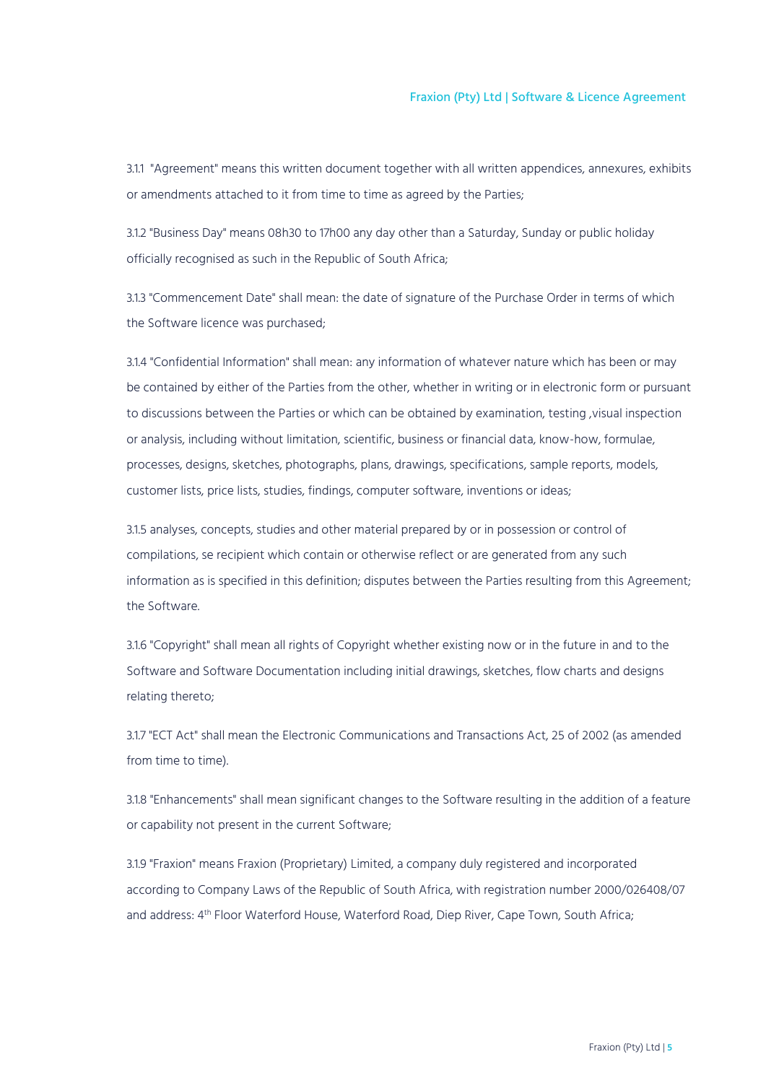3.1.1 "Agreement" means this written document together with all written appendices, annexures, exhibits or amendments attached to it from time to time as agreed by the Parties;

3.1.2 "Business Day" means 08h30 to 17h00 any day other than a Saturday, Sunday or public holiday officially recognised as such in the Republic of South Africa;

3.1.3 "Commencement Date" shall mean: the date of signature of the Purchase Order in terms of which the Software licence was purchased;

3.1.4 "Confidential Information" shall mean: any information of whatever nature which has been or may be contained by either of the Parties from the other, whether in writing or in electronic form or pursuant to discussions between the Parties or which can be obtained by examination, testing, visual inspection or analysis, including without limitation, scientific, business or financial data, know-how, formulae, processes, designs, sketches, photographs, plans, drawings, specifications, sample reports, models, customer lists, price lists, studies, findings, computer software, inventions or ideas;

3.1.5 analyses, concepts, studies and other material prepared by or in possession or control of compilations, se recipient which contain or otherwise reflect or are generated from any such information as is specified in this definition; disputes between the Parties resulting from this Agreement; the Software.

3.1.6 "Copyright" shall mean all rights of Copyright whether existing now or in the future in and to the Software and Software Documentation including initial drawings, sketches, flow charts and designs relating thereto;

3.1.7 "ECT Act" shall mean the Electronic Communications and Transactions Act, 25 of 2002 (as amended from time to time).

3.1.8 "Enhancements" shall mean significant changes to the Software resulting in the addition of a feature or capability not present in the current Software;

3.1.9 "Fraxion" means Fraxion (Proprietary) Limited, a company duly registered and incorporated according to Company Laws of the Republic of South Africa, with registration number 2000/026408/07 and address: 4 th Floor Waterford House, Waterford Road, Diep River, Cape Town, South Africa;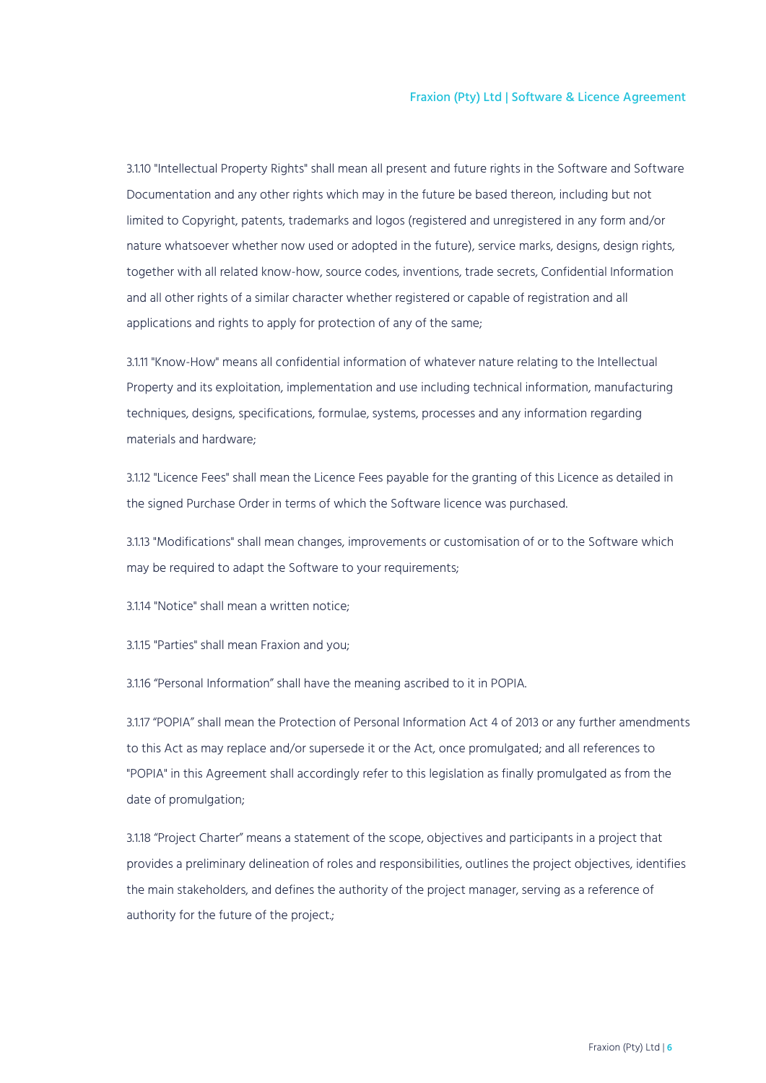3.1.10 "Intellectual Property Rights" shall mean all present and future rights in the Software and Software Documentation and any other rights which may in the future be based thereon, including but not limited to Copyright, patents, trademarks and logos (registered and unregistered in any form and/or nature whatsoever whether now used or adopted in the future), service marks, designs, design rights, together with all related know-how, source codes, inventions, trade secrets, Confidential Information and all other rights of a similar character whether registered or capable of registration and all applications and rights to apply for protection of any of the same;

3.1.11 "Know-How" means all confidential information of whatever nature relating to the Intellectual Property and its exploitation, implementation and use including technical information, manufacturing techniques, designs, specifications, formulae, systems, processes and any information regarding materials and hardware;

3.1.12 "Licence Fees" shall mean the Licence Fees payable for the granting of this Licence as detailed in the signed Purchase Order in terms of which the Software licence was purchased.

3.1.13 "Modifications" shall mean changes, improvements or customisation of or to the Software which may be required to adapt the Software to your requirements;

3.1.14 "Notice" shall mean a written notice;

3.1.15 "Parties" shall mean Fraxion and you;

3.1.16 "Personal Information" shall have the meaning ascribed to it in POPIA.

3.1.17 "POPIA" shall mean the Protection of Personal Information Act 4 of 2013 or any further amendments to this Act as may replace and/or supersede it or the Act, once promulgated; and all references to "POPIA" in this Agreement shall accordingly refer to this legislation as finally promulgated as from the date of promulgation;

3.1.18 "Project Charter" means a statement of the scope, objectives and participants in a project that provides a preliminary delineation of roles and responsibilities, outlines the project objectives, identifies the main stakeholders, and defines the authority of the project manager, serving as a reference of authority for the future of the project.;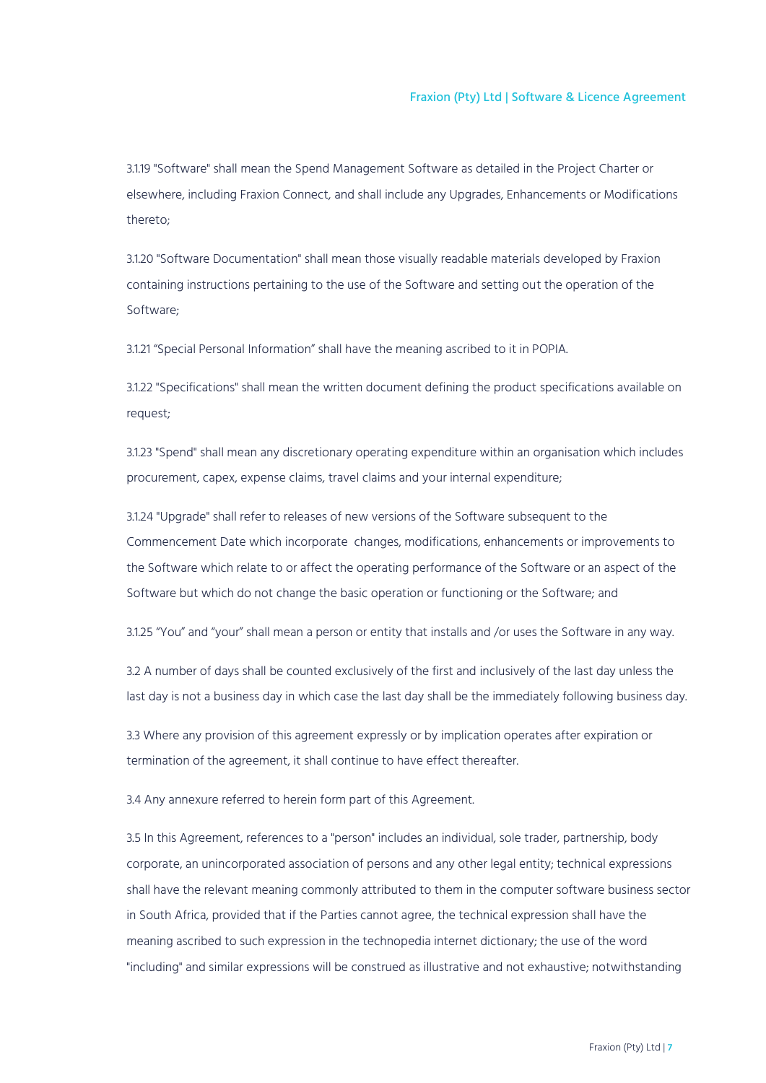3.1.19 "Software" shall mean the Spend Management Software as detailed in the Project Charter or elsewhere, including Fraxion Connect, and shall include any Upgrades, Enhancements or Modifications thereto;

3.1.20 "Software Documentation" shall mean those visually readable materials developed by Fraxion containing instructions pertaining to the use of the Software and setting out the operation of the Software;

3.1.21 "Special Personal Information" shall have the meaning ascribed to it in POPIA.

3.1.22 "Specifications" shall mean the written document defining the product specifications available on request;

3.1.23 "Spend" shall mean any discretionary operating expenditure within an organisation which includes procurement, capex, expense claims, travel claims and your internal expenditure;

3.1.24 "Upgrade" shall refer to releases of new versions of the Software subsequent to the Commencement Date which incorporate changes, modifications, enhancements or improvements to the Software which relate to or affect the operating performance of the Software or an aspect of the Software but which do not change the basic operation or functioning or the Software; and

3.1.25 "You" and "your" shall mean a person or entity that installs and /or uses the Software in any way.

3.2 A number of days shall be counted exclusively of the first and inclusively of the last day unless the last day is not a business day in which case the last day shall be the immediately following business day.

3.3 Where any provision of this agreement expressly or by implication operates after expiration or termination of the agreement, it shall continue to have effect thereafter.

3.4 Any annexure referred to herein form part of this Agreement.

3.5 In this Agreement, references to a "person" includes an individual, sole trader, partnership, body corporate, an unincorporated association of persons and any other legal entity; technical expressions shall have the relevant meaning commonly attributed to them in the computer software business sector in South Africa, provided that if the Parties cannot agree, the technical expression shall have the meaning ascribed to such expression in the technopedia internet dictionary; the use of the word "including" and similar expressions will be construed as illustrative and not exhaustive; notwithstanding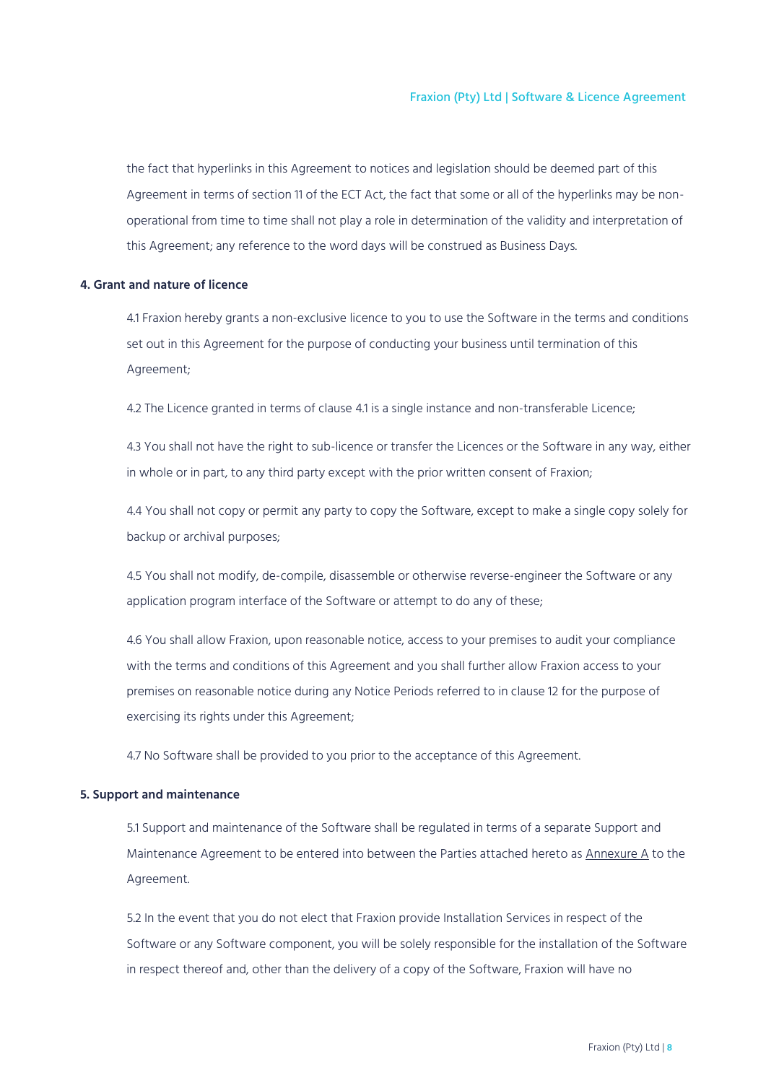the fact that hyperlinks in this Agreement to notices and legislation should be deemed part of this Agreement in terms of section 11 of the ECT Act, the fact that some or all of the hyperlinks may be nonoperational from time to time shall not play a role in determination of the validity and interpretation of this Agreement; any reference to the word days will be construed as Business Days.

#### <span id="page-7-0"></span>**4. Grant and nature of licence**

4.1 Fraxion hereby grants a non-exclusive licence to you to use the Software in the terms and conditions set out in this Agreement for the purpose of conducting your business until termination of this Agreement;

4.2 The Licence granted in terms of clause 4.1 is a single instance and non-transferable Licence;

4.3 You shall not have the right to sub-licence or transfer the Licences or the Software in any way, either in whole or in part, to any third party except with the prior written consent of Fraxion;

4.4 You shall not copy or permit any party to copy the Software, except to make a single copy solely for backup or archival purposes;

4.5 You shall not modify, de-compile, disassemble or otherwise reverse-engineer the Software or any application program interface of the Software or attempt to do any of these;

4.6 You shall allow Fraxion, upon reasonable notice, access to your premises to audit your compliance with the terms and conditions of this Agreement and you shall further allow Fraxion access to your premises on reasonable notice during any Notice Periods referred to in clause 12 for the purpose of exercising its rights under this Agreement;

4.7 No Software shall be provided to you prior to the acceptance of this Agreement.

### <span id="page-7-1"></span>**5. Support and maintenance**

5.1 Support and maintenance of the Software shall be regulated in terms of a separate Support and Maintenance Agreement to be entered into between the Parties attached hereto as Annexure A to the Agreement.

5.2 In the event that you do not elect that Fraxion provide Installation Services in respect of the Software or any Software component, you will be solely responsible for the installation of the Software in respect thereof and, other than the delivery of a copy of the Software, Fraxion will have no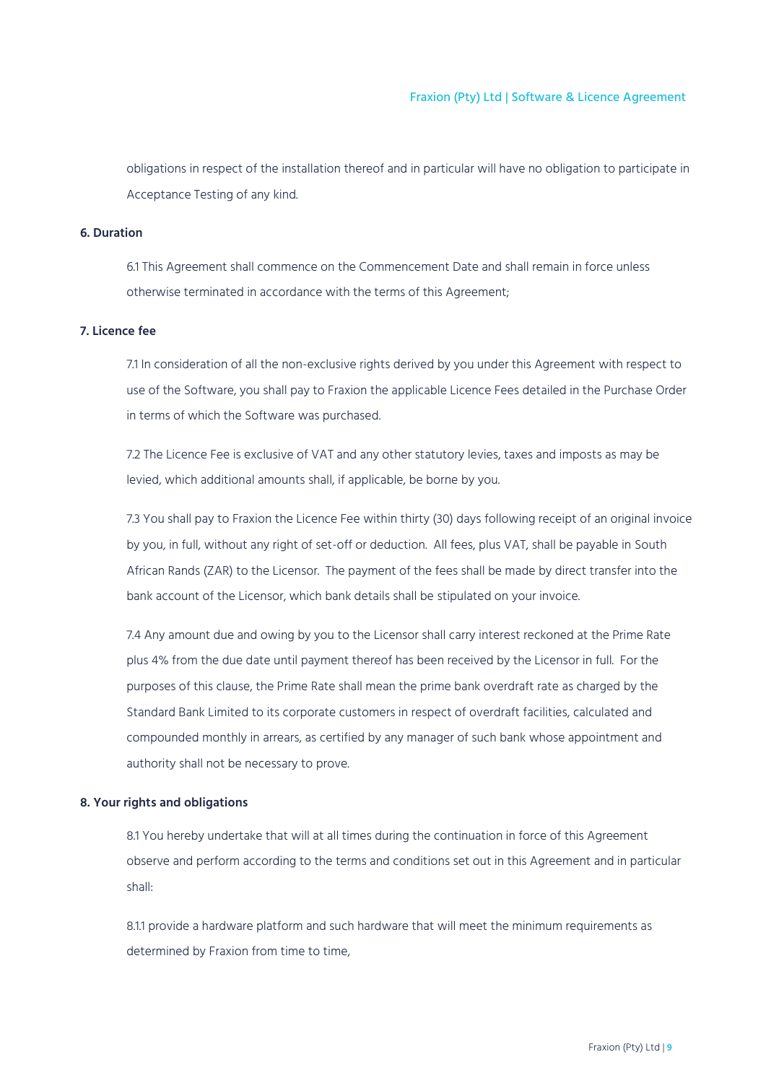obligations in respect of the installation thereof and in particular will have no obligation to participate in Acceptance Testing of any kind.

## <span id="page-8-0"></span>**6. Duration**

6.1 This Agreement shall commence on the Commencement Date and shall remain in force unless otherwise terminated in accordance with the terms of this Agreement;

## <span id="page-8-1"></span>**7. Licence fee**

7.1 In consideration of all the non-exclusive rights derived by you under this Agreement with respect to use of the Software, you shall pay to Fraxion the applicable Licence Fees detailed in the Purchase Order in terms of which the Software was purchased.

7.2 The Licence Fee is exclusive of VAT and any other statutory levies, taxes and imposts as may be levied, which additional amounts shall, if applicable, be borne by you.

7.3 You shall pay to Fraxion the Licence Fee within thirty (30) days following receipt of an original invoice by you, in full, without any right of set-off or deduction. All fees, plus VAT, shall be payable in South African Rands (ZAR) to the Licensor. The payment of the fees shall be made by direct transfer into the bank account of the Licensor, which bank details shall be stipulated on your invoice.

7.4 Any amount due and owing by you to the Licensor shall carry interest reckoned at the Prime Rate plus 4% from the due date until payment thereof has been received by the Licensor in full. For the purposes of this clause, the Prime Rate shall mean the prime bank overdraft rate as charged by the Standard Bank Limited to its corporate customers in respect of overdraft facilities, calculated and compounded monthly in arrears, as certified by any manager of such bank whose appointment and authority shall not be necessary to prove.

## <span id="page-8-2"></span>**8. Your rights and obligations**

8.1 You hereby undertake that will at all times during the continuation in force of this Agreement observe and perform according to the terms and conditions set out in this Agreement and in particular shall:

8.1.1 provide a hardware platform and such hardware that will meet the minimum requirements as determined by Fraxion from time to time.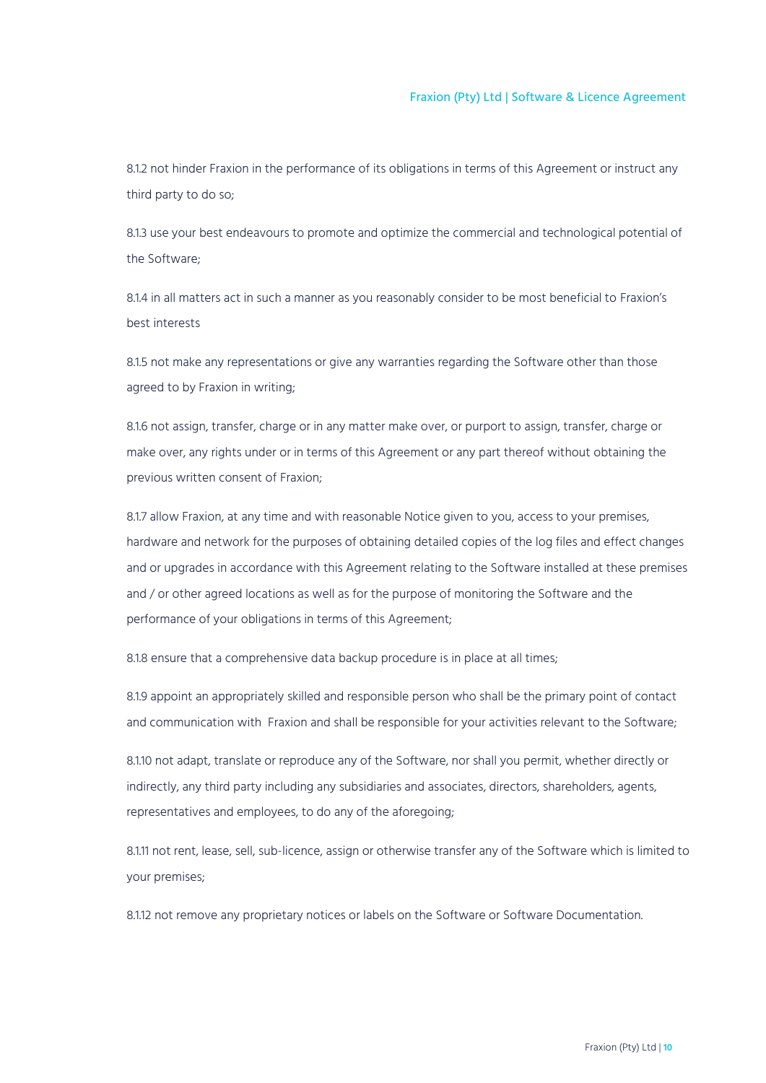8.1.2 not hinder Fraxion in the performance of its obligations in terms of this Agreement or instruct any third party to do so;

8.1.3 use your best endeavours to promote and optimize the commercial and technological potential of the Software;

8.1.4 in all matters act in such a manner as you reasonably consider to be most beneficial to Fraxion's best interests

8.1.5 not make any representations or give any warranties regarding the Software other than those agreed to by Fraxion in writing;

8.1.6 not assign, transfer, charge or in any matter make over, or purport to assign, transfer, charge or make over, any rights under or in terms of this Agreement or any part thereof without obtaining the previous written consent of Fraxion;

8.1.7 allow Fraxion, at any time and with reasonable Notice given to you, access to your premises, hardware and network for the purposes of obtaining detailed copies of the log files and effect changes and or upgrades in accordance with this Agreement relating to the Software installed at these premises and / or other agreed locations as well as for the purpose of monitoring the Software and the performance of your obligations in terms of this Agreement;

8.1.8 ensure that a comprehensive data backup procedure is in place at all times;

8.1.9 appoint an appropriately skilled and responsible person who shall be the primary point of contact and communication with Fraxion and shall be responsible for your activities relevant to the Software;

8.1.10 not adapt, translate or reproduce any of the Software, nor shall you permit, whether directly or indirectly, any third party including any subsidiaries and associates, directors, shareholders, agents, representatives and employees, to do any of the aforegoing;

8.1.11 not rent, lease, sell, sub-licence, assign or otherwise transfer any of the Software which is limited to your premises;

8.1.12 not remove any proprietary notices or labels on the Software or Software Documentation.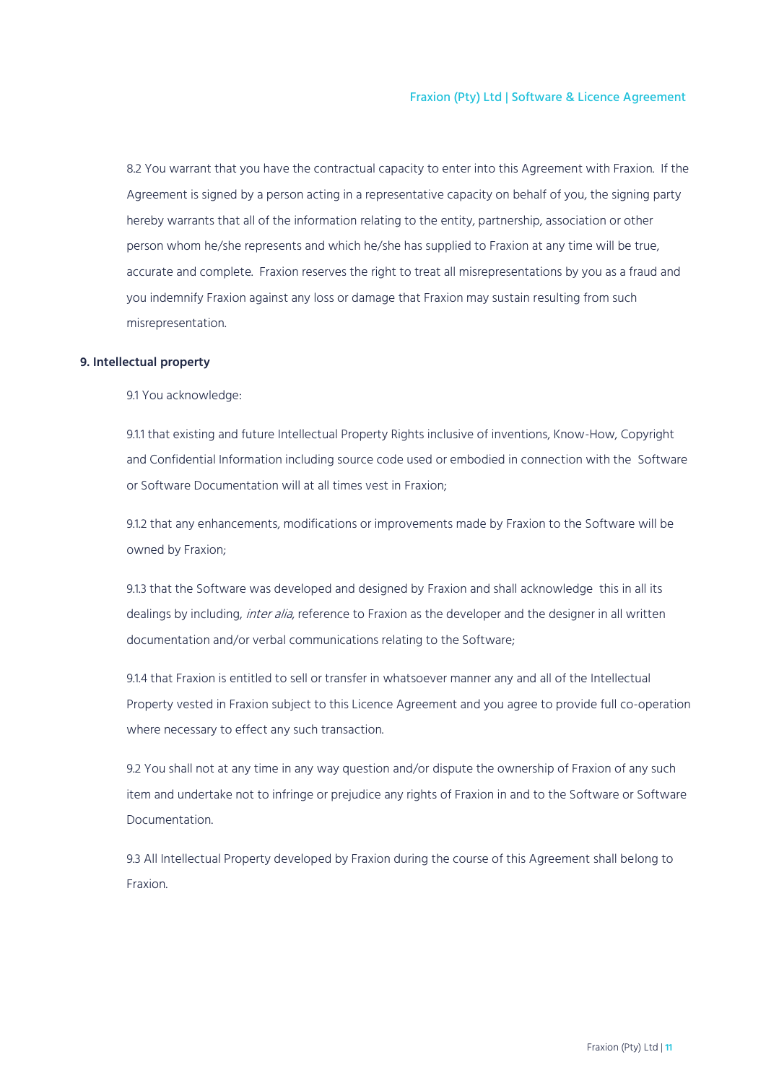8.2 You warrant that you have the contractual capacity to enter into this Agreement with Fraxion. If the Agreement is signed by a person acting in a representative capacity on behalf of you, the signing party hereby warrants that all of the information relating to the entity, partnership, association or other person whom he/she represents and which he/she has supplied to Fraxion at any time will be true, accurate and complete. Fraxion reserves the right to treat all misrepresentations by you as a fraud and you indemnify Fraxion against any loss or damage that Fraxion may sustain resulting from such misrepresentation.

#### <span id="page-10-0"></span>**9. Intellectual property**

9.1 You acknowledge:

9.1.1 that existing and future Intellectual Property Rights inclusive of inventions, Know-How, Copyright and Confidential Information including source code used or embodied in connection with the Software or Software Documentation will at all times vest in Fraxion;

9.1.2 that any enhancements, modifications or improvements made by Fraxion to the Software will be owned by Fraxion;

9.1.3 that the Software was developed and designed by Fraxion and shall acknowledge this in all its dealings by including, *inter alia*, reference to Fraxion as the developer and the designer in all written documentation and/or verbal communications relating to the Software;

9.1.4 that Fraxion is entitled to sell or transfer in whatsoever manner any and all of the Intellectual Property vested in Fraxion subject to this Licence Agreement and you agree to provide full co-operation where necessary to effect any such transaction.

9.2 You shall not at any time in any way question and/or dispute the ownership of Fraxion of any such item and undertake not to infringe or prejudice any rights of Fraxion in and to the Software or Software Documentation.

9.3 All Intellectual Property developed by Fraxion during the course of this Agreement shall belong to Fraxion.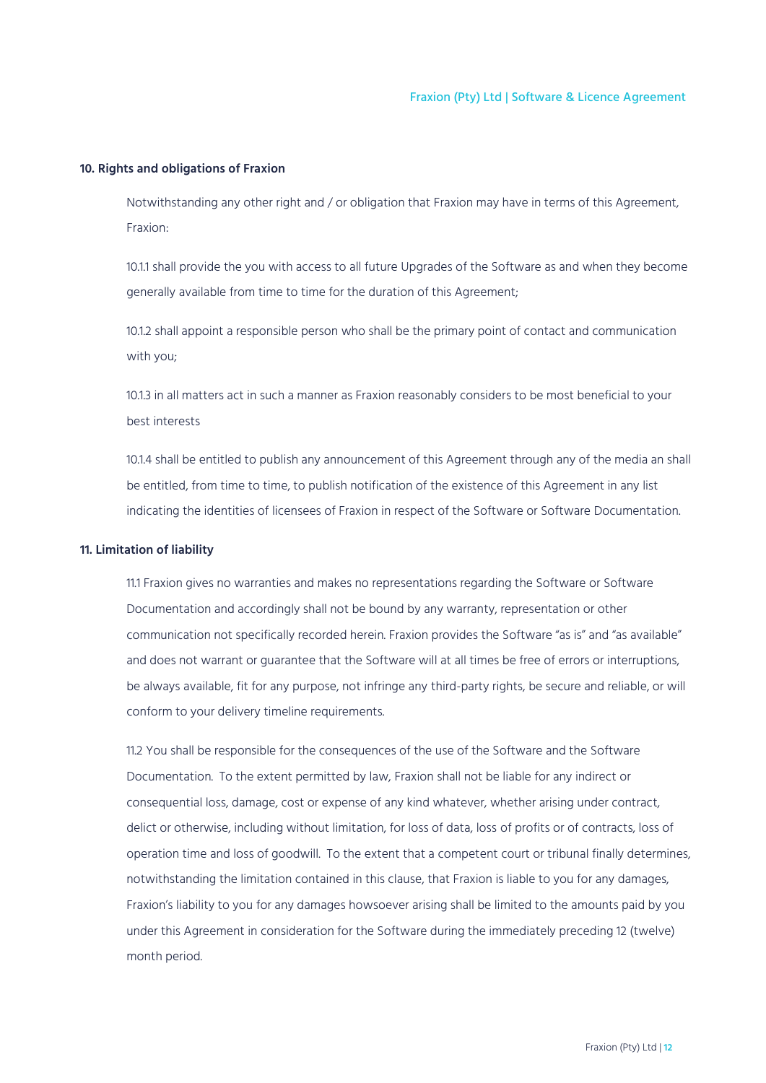## <span id="page-11-0"></span>**10. Rights and obligations of Fraxion**

Notwithstanding any other right and / or obligation that Fraxion may have in terms of this Agreement, Fraxion:

10.1.1 shall provide the you with access to all future Upgrades of the Software as and when they become generally available from time to time for the duration of this Agreement;

10.1.2 shall appoint a responsible person who shall be the primary point of contact and communication with you;

10.1.3 in all matters act in such a manner as Fraxion reasonably considers to be most beneficial to your best interests

10.1.4 shall be entitled to publish any announcement of this Agreement through any of the media an shall be entitled, from time to time, to publish notification of the existence of this Agreement in any list indicating the identities of licensees of Fraxion in respect of the Software or Software Documentation.

#### <span id="page-11-1"></span>**11. Limitation of liability**

11.1 Fraxion gives no warranties and makes no representations regarding the Software or Software Documentation and accordingly shall not be bound by any warranty, representation or other communication not specifically recorded herein. Fraxion provides the Software "as is" and "as available" and does not warrant or guarantee that the Software will at all times be free of errors or interruptions, be always available, fit for any purpose, not infringe any third-party rights, be secure and reliable, or will conform to your delivery timeline requirements.

11.2 You shall be responsible for the consequences of the use of the Software and the Software Documentation. To the extent permitted by law, Fraxion shall not be liable for any indirect or consequential loss, damage, cost or expense of any kind whatever, whether arising under contract, delict or otherwise, including without limitation, for loss of data, loss of profits or of contracts, loss of operation time and loss of goodwill. To the extent that a competent court or tribunal finally determines, notwithstanding the limitation contained in this clause, that Fraxion is liable to you for any damages, Fraxion's liability to you for any damages howsoever arising shall be limited to the amounts paid by you under this Agreement in consideration for the Software during the immediately preceding 12 (twelve) month period.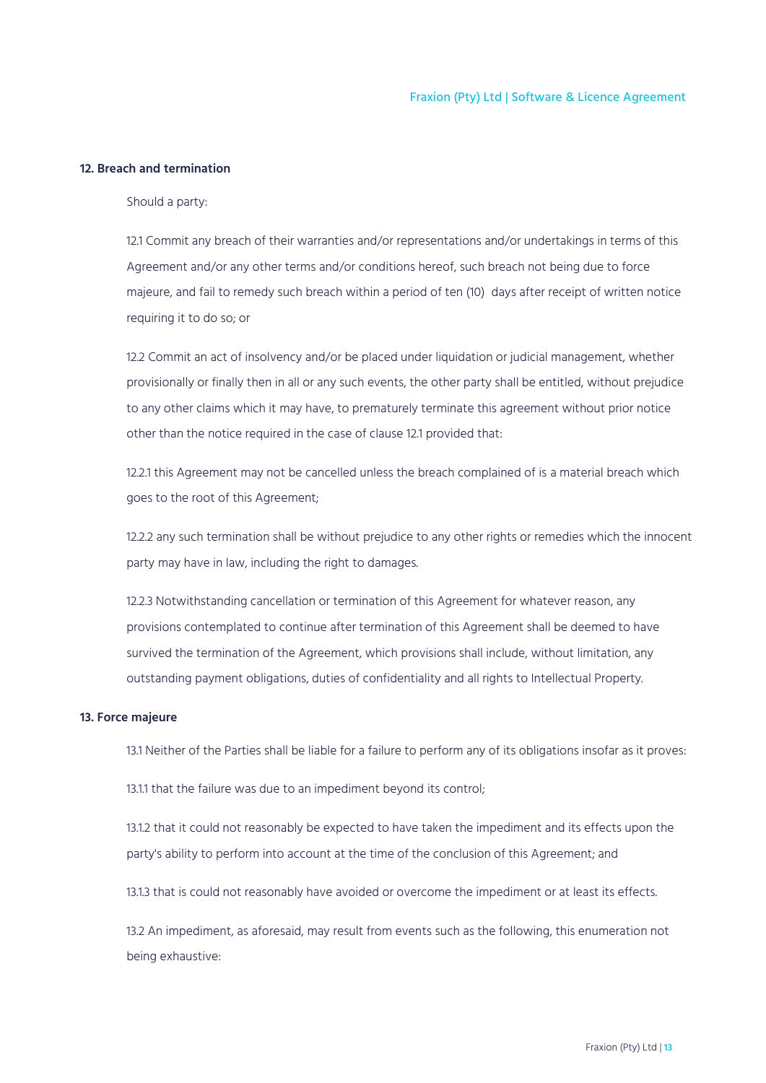## <span id="page-12-0"></span>**12. Breach and termination**

Should a party:

12.1 Commit any breach of their warranties and/or representations and/or undertakings in terms of this Agreement and/or any other terms and/or conditions hereof, such breach not being due to force majeure, and fail to remedy such breach within a period of ten (10) days after receipt of written notice requiring it to do so; or

12.2 Commit an act of insolvency and/or be placed under liquidation or judicial management, whether provisionally or finally then in all or any such events, the other party shall be entitled, without prejudice to any other claims which it may have, to prematurely terminate this agreement without prior notice other than the notice required in the case of clause 12.1 provided that:

12.2.1 this Agreement may not be cancelled unless the breach complained of is a material breach which goes to the root of this Agreement;

12.2.2 any such termination shall be without prejudice to any other rights or remedies which the innocent party may have in law, including the right to damages.

12.2.3 Notwithstanding cancellation or termination of this Agreement for whatever reason, any provisions contemplated to continue after termination of this Agreement shall be deemed to have survived the termination of the Agreement, which provisions shall include, without limitation, any outstanding payment obligations, duties of confidentiality and all rights to Intellectual Property.

## <span id="page-12-1"></span>**13. Force majeure**

13.1 Neither of the Parties shall be liable for a failure to perform any of its obligations insofar as it proves:

13.1.1 that the failure was due to an impediment beyond its control;

13.1.2 that it could not reasonably be expected to have taken the impediment and its effects upon the party's ability to perform into account at the time of the conclusion of this Agreement; and

13.1.3 that is could not reasonably have avoided or overcome the impediment or at least its effects.

13.2 An impediment, as aforesaid, may result from events such as the following, this enumeration not being exhaustive: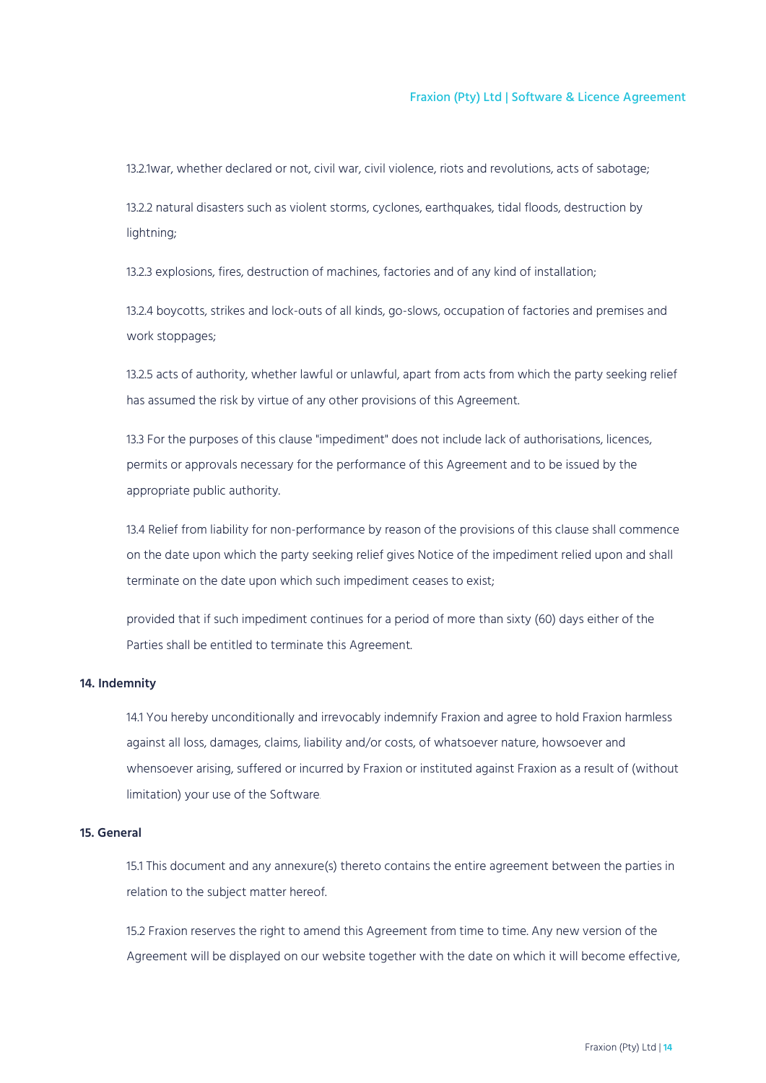13.2.1war, whether declared or not, civil war, civil violence, riots and revolutions, acts of sabotage;

13.2.2 natural disasters such as violent storms, cyclones, earthquakes, tidal floods, destruction by lightning;

13.2.3 explosions, fires, destruction of machines, factories and of any kind of installation;

13.2.4 boycotts, strikes and lock-outs of all kinds, go-slows, occupation of factories and premises and work stoppages;

13.2.5 acts of authority, whether lawful or unlawful, apart from acts from which the party seeking relief has assumed the risk by virtue of any other provisions of this Agreement.

13.3 For the purposes of this clause "impediment" does not include lack of authorisations, licences, permits or approvals necessary for the performance of this Agreement and to be issued by the appropriate public authority.

13.4 Relief from liability for non-performance by reason of the provisions of this clause shall commence on the date upon which the party seeking relief gives Notice of the impediment relied upon and shall terminate on the date upon which such impediment ceases to exist;

provided that if such impediment continues for a period of more than sixty (60) days either of the Parties shall be entitled to terminate this Agreement.

## <span id="page-13-0"></span>**14. Indemnity**

14.1 You hereby unconditionally and irrevocably indemnify Fraxion and agree to hold Fraxion harmless against all loss, damages, claims, liability and/or costs, of whatsoever nature, howsoever and whensoever arising, suffered or incurred by Fraxion or instituted against Fraxion as a result of (without limitation) your use of the Software.

## <span id="page-13-1"></span>**15. General**

15.1 This document and any annexure(s) thereto contains the entire agreement between the parties in relation to the subject matter hereof.

15.2 Fraxion reserves the right to amend this Agreement from time to time. Any new version of the Agreement will be displayed on our website together with the date on which it will become effective,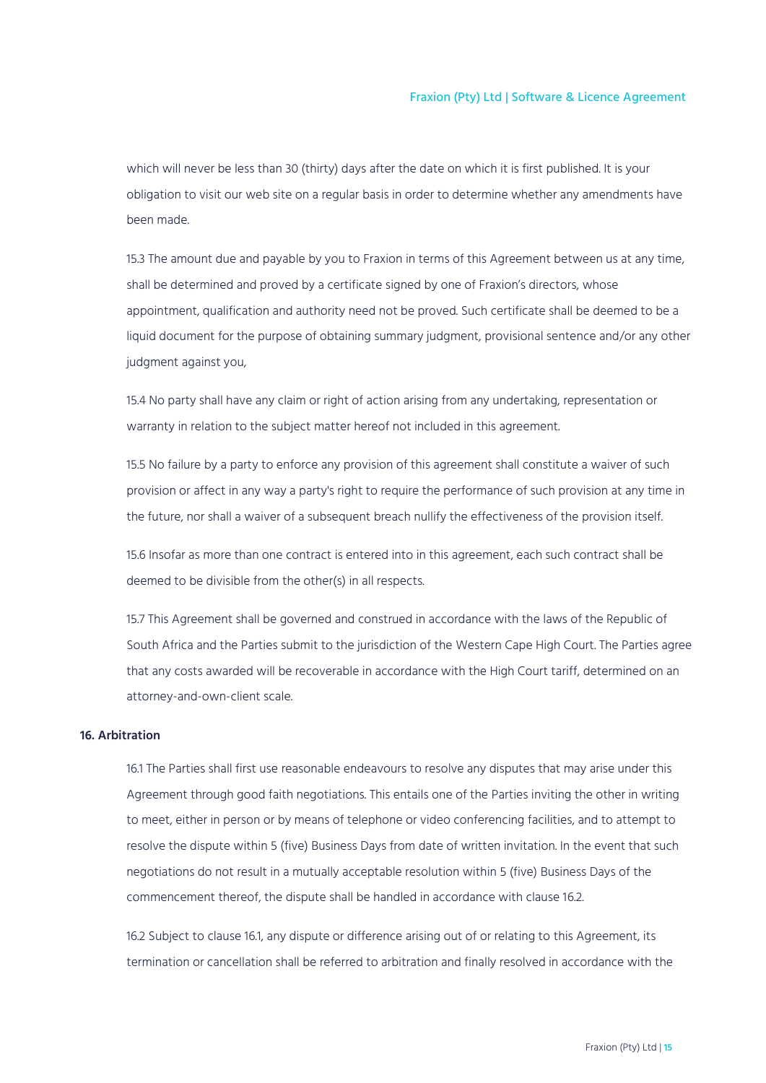which will never be less than 30 (thirty) days after the date on which it is first published. It is your obligation to visit our web site on a regular basis in order to determine whether any amendments have been made.

15.3 The amount due and payable by you to Fraxion in terms of this Agreement between us at any time, shall be determined and proved by a certificate signed by one of Fraxion's directors, whose appointment, qualification and authority need not be proved. Such certificate shall be deemed to be a liquid document for the purpose of obtaining summary judgment, provisional sentence and/or any other judgment against you,

15.4 No party shall have any claim or right of action arising from any undertaking, representation or warranty in relation to the subject matter hereof not included in this agreement.

15.5 No failure by a party to enforce any provision of this agreement shall constitute a waiver of such provision or affect in any way a party's right to require the performance of such provision at any time in the future, nor shall a waiver of a subsequent breach nullify the effectiveness of the provision itself.

15.6 Insofar as more than one contract is entered into in this agreement, each such contract shall be deemed to be divisible from the other(s) in all respects.

15.7 This Agreement shall be governed and construed in accordance with the laws of the Republic of South Africa and the Parties submit to the jurisdiction of the Western Cape High Court. The Parties agree that any costs awarded will be recoverable in accordance with the High Court tariff, determined on an attorney-and-own-client scale.

## <span id="page-14-0"></span>**16. Arbitration**

16.1 The Parties shall first use reasonable endeavours to resolve any disputes that may arise under this Agreement through good faith negotiations. This entails one of the Parties inviting the other in writing to meet, either in person or by means of telephone or video conferencing facilities, and to attempt to resolve the dispute within 5 (five) Business Days from date of written invitation. In the event that such negotiations do not result in a mutually acceptable resolution within 5 (five) Business Days of the commencement thereof, the dispute shall be handled in accordance with clause 16.2.

16.2 Subject to clause 16.1, any dispute or difference arising out of or relating to this Agreement, its termination or cancellation shall be referred to arbitration and finally resolved in accordance with the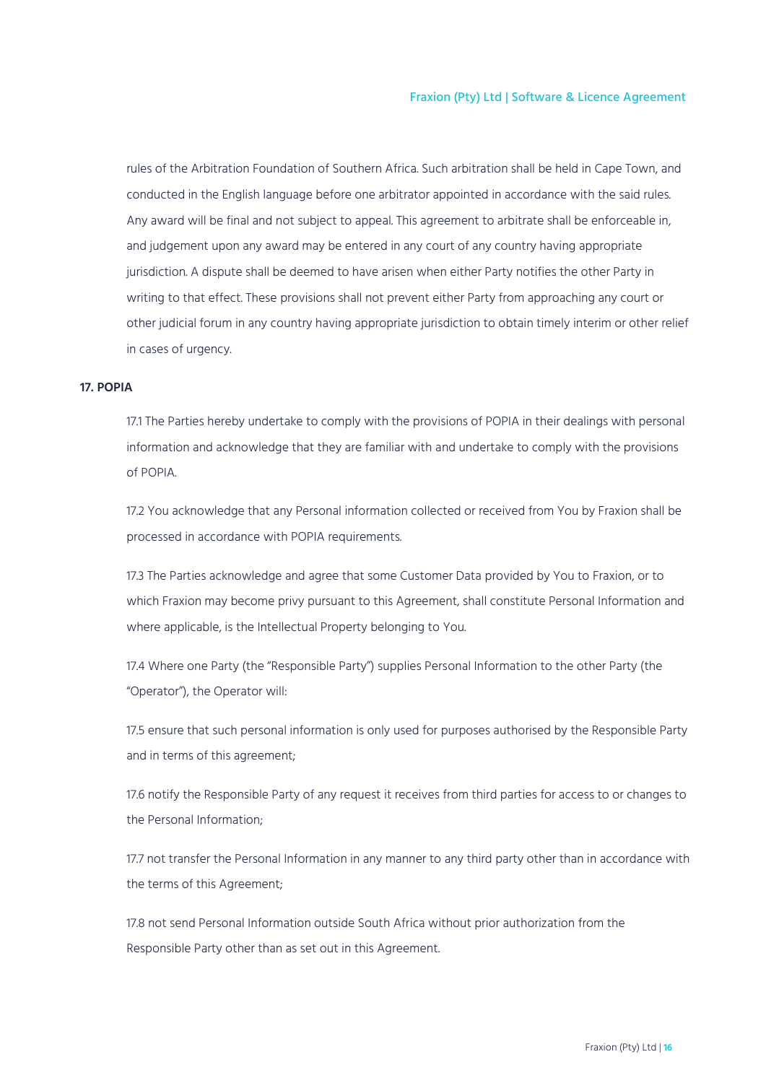rules of the Arbitration Foundation of Southern Africa. Such arbitration shall be held in Cape Town, and conducted in the English language before one arbitrator appointed in accordance with the said rules. Any award will be final and not subject to appeal. This agreement to arbitrate shall be enforceable in, and judgement upon any award may be entered in any court of any country having appropriate jurisdiction. A dispute shall be deemed to have arisen when either Party notifies the other Party in writing to that effect. These provisions shall not prevent either Party from approaching any court or other judicial forum in any country having appropriate jurisdiction to obtain timely interim or other relief in cases of urgency.

## <span id="page-15-0"></span>**17. POPIA**

17.1 The Parties hereby undertake to comply with the provisions of POPIA in their dealings with personal information and acknowledge that they are familiar with and undertake to comply with the provisions of POPIA.

17.2 You acknowledge that any Personal information collected or received from You by Fraxion shall be processed in accordance with POPIA requirements.

17.3 The Parties acknowledge and agree that some Customer Data provided by You to Fraxion, or to which Fraxion may become privy pursuant to this Agreement, shall constitute Personal Information and where applicable, is the Intellectual Property belonging to You.

17.4 Where one Party (the "Responsible Party") supplies Personal Information to the other Party (the "Operator"), the Operator will:

17.5 ensure that such personal information is only used for purposes authorised by the Responsible Party and in terms of this agreement;

17.6 notify the Responsible Party of any request it receives from third parties for access to or changes to the Personal Information;

17.7 not transfer the Personal Information in any manner to any third party other than in accordance with the terms of this Agreement;

17.8 not send Personal Information outside South Africa without prior authorization from the Responsible Party other than as set out in this Agreement.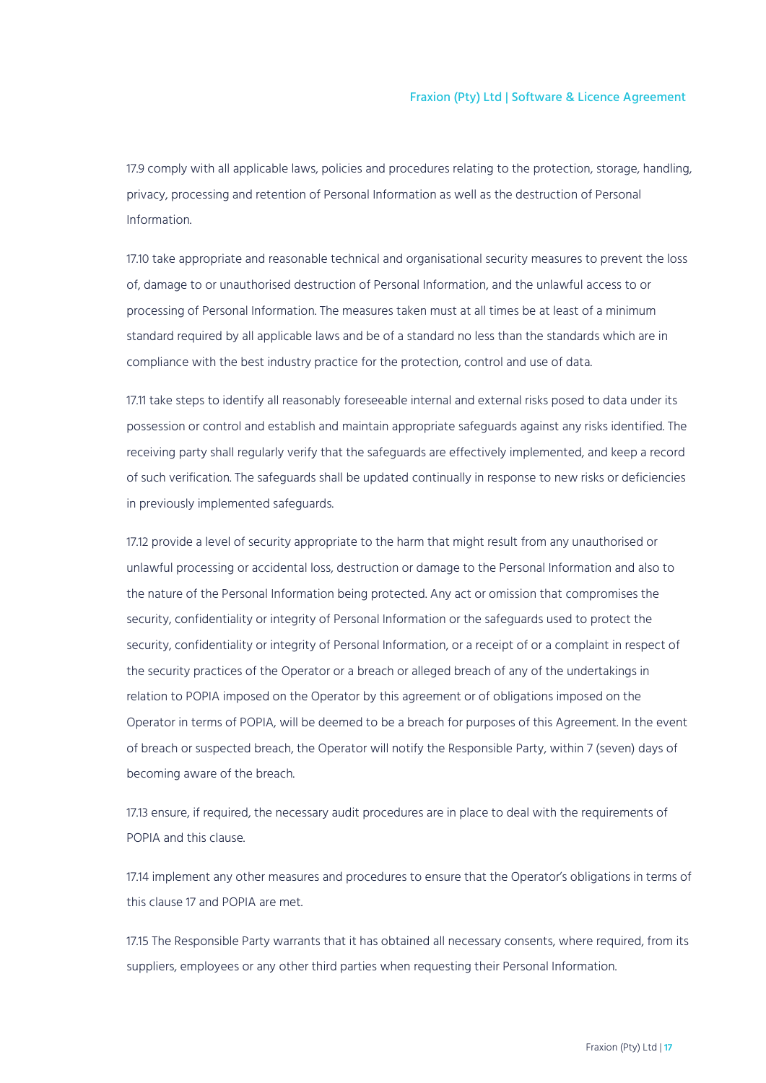17.9 comply with all applicable laws, policies and procedures relating to the protection, storage, handling, privacy, processing and retention of Personal Information as well as the destruction of Personal Information.

17.10 take appropriate and reasonable technical and organisational security measures to prevent the loss of, damage to or unauthorised destruction of Personal Information, and the unlawful access to or processing of Personal Information. The measures taken must at all times be at least of a minimum standard required by all applicable laws and be of a standard no less than the standards which are in compliance with the best industry practice for the protection, control and use of data.

17.11 take steps to identify all reasonably foreseeable internal and external risks posed to data under its possession or control and establish and maintain appropriate safeguards against any risks identified. The receiving party shall regularly verify that the safeguards are effectively implemented, and keep a record of such verification. The safeguards shall be updated continually in response to new risks or deficiencies in previously implemented safeguards.

17.12 provide a level of security appropriate to the harm that might result from any unauthorised or unlawful processing or accidental loss, destruction or damage to the Personal Information and also to the nature of the Personal Information being protected. Any act or omission that compromises the security, confidentiality or integrity of Personal Information or the safeguards used to protect the security, confidentiality or integrity of Personal Information, or a receipt of or a complaint in respect of the security practices of the Operator or a breach or alleged breach of any of the undertakings in relation to POPIA imposed on the Operator by this agreement or of obligations imposed on the Operator in terms of POPIA, will be deemed to be a breach for purposes of this Agreement. In the event of breach or suspected breach, the Operator will notify the Responsible Party, within 7 (seven) days of becoming aware of the breach.

17.13 ensure, if required, the necessary audit procedures are in place to deal with the requirements of POPIA and this clause.

17.14 implement any other measures and procedures to ensure that the Operator's obligations in terms of this clause 17 and POPIA are met.

17.15 The Responsible Party warrants that it has obtained all necessary consents, where required, from its suppliers, employees or any other third parties when requesting their Personal Information.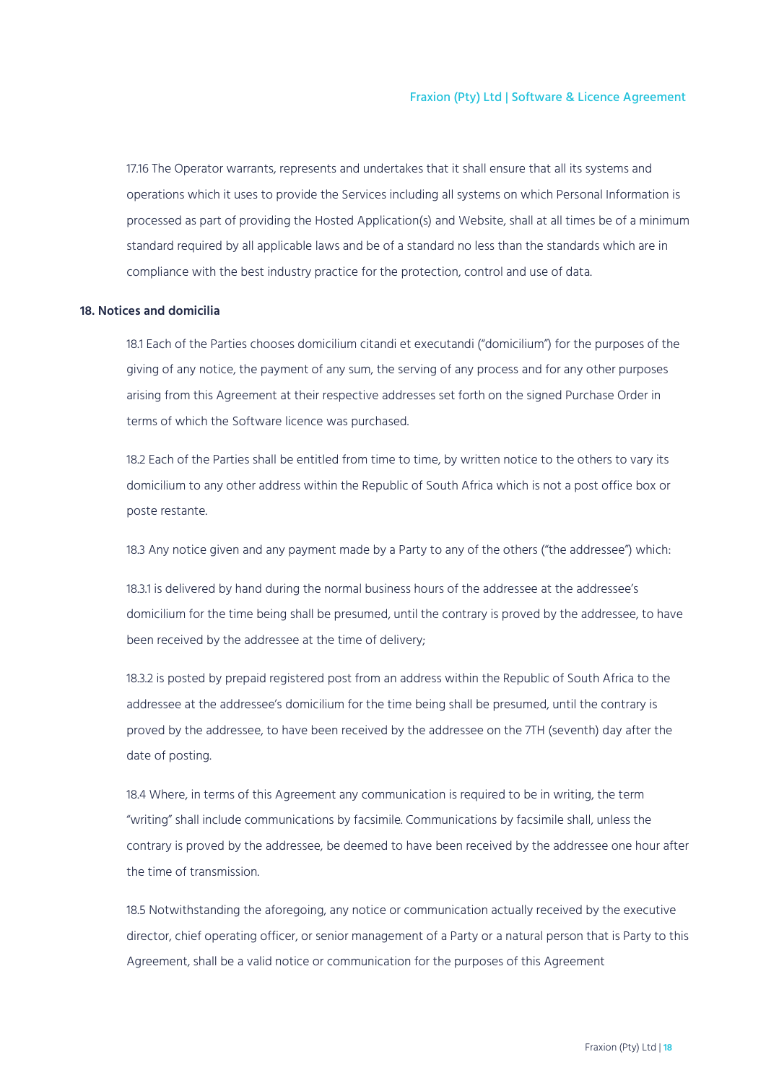17.16 The Operator warrants, represents and undertakes that it shall ensure that all its systems and operations which it uses to provide the Services including all systems on which Personal Information is processed as part of providing the Hosted Application(s) and Website, shall at all times be of a minimum standard required by all applicable laws and be of a standard no less than the standards which are in compliance with the best industry practice for the protection, control and use of data.

### <span id="page-17-0"></span>**18. Notices and domicilia**

18.1 Each of the Parties chooses domicilium citandi et executandi ("domicilium") for the purposes of the giving of any notice, the payment of any sum, the serving of any process and for any other purposes arising from this Agreement at their respective addresses set forth on the signed Purchase Order in terms of which the Software licence was purchased.

18.2 Each of the Parties shall be entitled from time to time, by written notice to the others to vary its domicilium to any other address within the Republic of South Africa which is not a post office box or poste restante.

18.3 Any notice given and any payment made by a Party to any of the others ("the addressee") which:

18.3.1 is delivered by hand during the normal business hours of the addressee at the addressee's domicilium for the time being shall be presumed, until the contrary is proved by the addressee, to have been received by the addressee at the time of delivery;

18.3.2 is posted by prepaid registered post from an address within the Republic of South Africa to the addressee at the addressee's domicilium for the time being shall be presumed, until the contrary is proved by the addressee, to have been received by the addressee on the 7TH (seventh) day after the date of posting.

18.4 Where, in terms of this Agreement any communication is required to be in writing, the term "writing" shall include communications by facsimile. Communications by facsimile shall, unless the contrary is proved by the addressee, be deemed to have been received by the addressee one hour after the time of transmission.

18.5 Notwithstanding the aforegoing, any notice or communication actually received by the executive director, chief operating officer, or senior management of a Party or a natural person that is Party to this Agreement, shall be a valid notice or communication for the purposes of this Agreement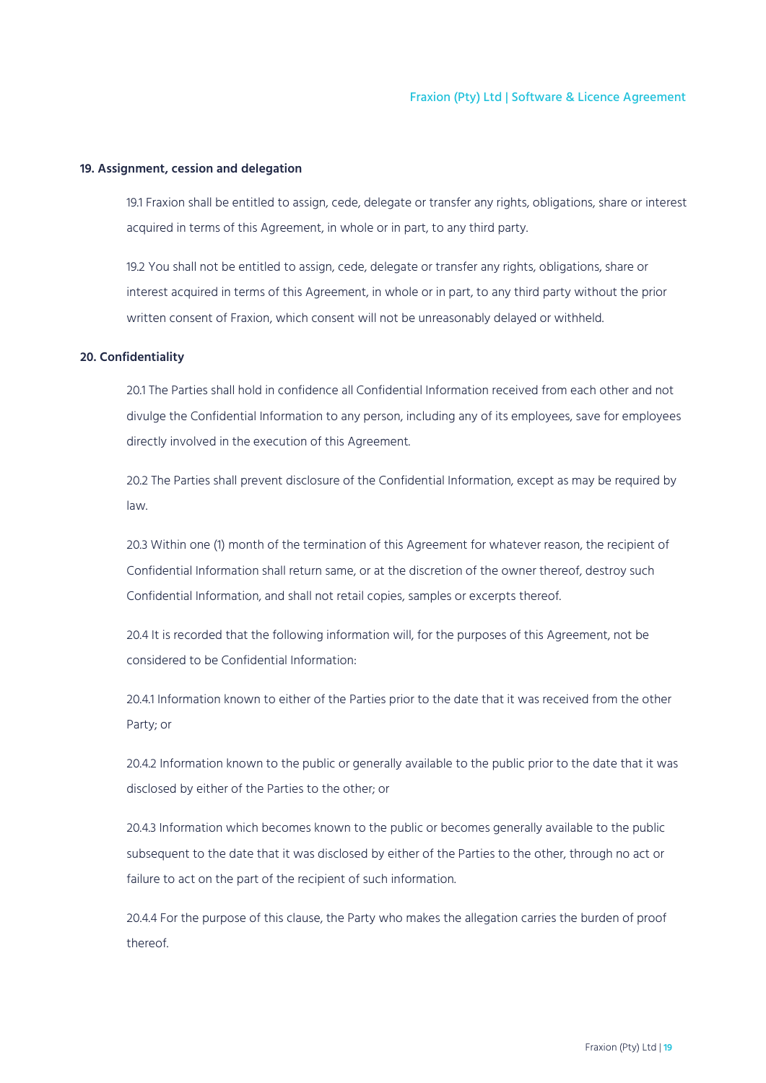#### <span id="page-18-0"></span>**19. Assignment, cession and delegation**

19.1 Fraxion shall be entitled to assign, cede, delegate or transfer any rights, obligations, share or interest acquired in terms of this Agreement, in whole or in part, to any third party.

19.2 You shall not be entitled to assign, cede, delegate or transfer any rights, obligations, share or interest acquired in terms of this Agreement, in whole or in part, to any third party without the prior written consent of Fraxion, which consent will not be unreasonably delayed or withheld.

## <span id="page-18-1"></span>**20. Confidentiality**

20.1 The Parties shall hold in confidence all Confidential Information received from each other and not divulge the Confidential Information to any person, including any of its employees, save for employees directly involved in the execution of this Agreement.

20.2 The Parties shall prevent disclosure of the Confidential Information, except as may be required by law.

20.3 Within one (1) month of the termination of this Agreement for whatever reason, the recipient of Confidential Information shall return same, or at the discretion of the owner thereof, destroy such Confidential Information, and shall not retail copies, samples or excerpts thereof.

20.4 It is recorded that the following information will, for the purposes of this Agreement, not be considered to be Confidential Information:

20.4.1 Information known to either of the Parties prior to the date that it was received from the other Party; or

20.4.2 Information known to the public or generally available to the public prior to the date that it was disclosed by either of the Parties to the other; or

20.4.3 Information which becomes known to the public or becomes generally available to the public subsequent to the date that it was disclosed by either of the Parties to the other, through no act or failure to act on the part of the recipient of such information.

20.4.4 For the purpose of this clause, the Party who makes the allegation carries the burden of proof thereof.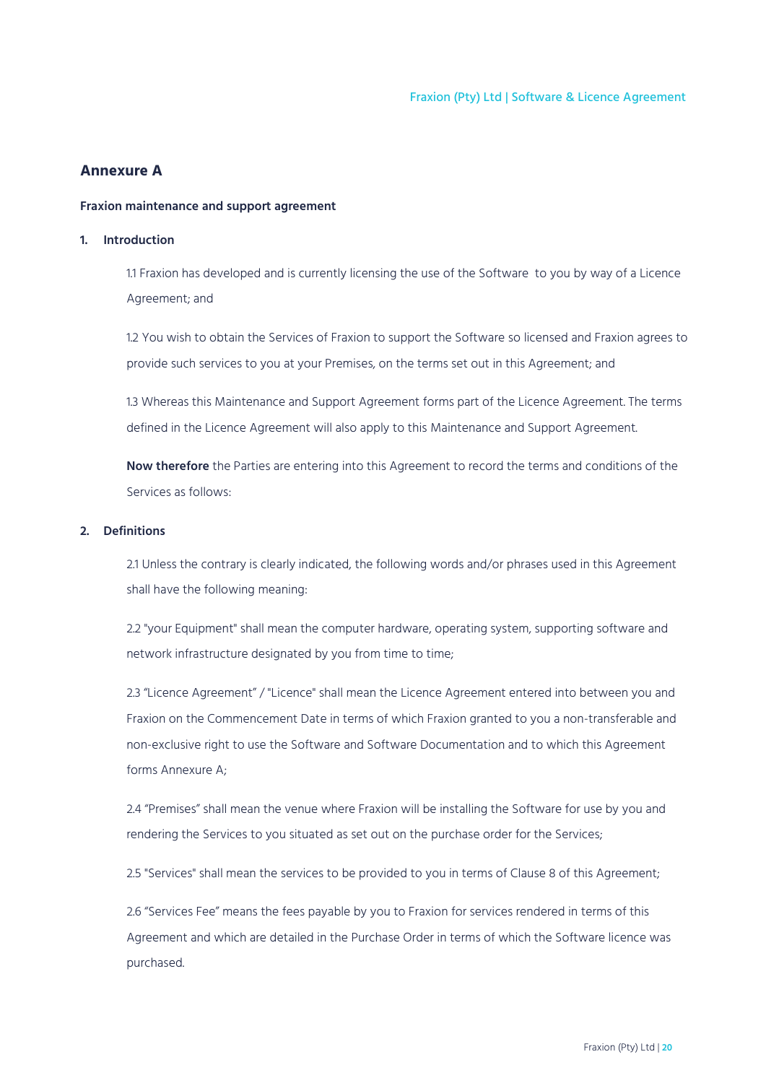## <span id="page-19-0"></span>**Annexure A**

## <span id="page-19-1"></span>**Fraxion maintenance and support agreement**

## <span id="page-19-2"></span>**1. Introduction**

1.1 Fraxion has developed and is currently licensing the use of the Software to you by way of a Licence Agreement; and

1.2 You wish to obtain the Services of Fraxion to support the Software so licensed and Fraxion agrees to provide such services to you at your Premises, on the terms set out in this Agreement; and

1.3 Whereas this Maintenance and Support Agreement forms part of the Licence Agreement. The terms defined in the Licence Agreement will also apply to this Maintenance and Support Agreement.

**Now therefore** the Parties are entering into this Agreement to record the terms and conditions of the Services as follows:

## <span id="page-19-3"></span>**2. Definitions**

2.1 Unless the contrary is clearly indicated, the following words and/or phrases used in this Agreement shall have the following meaning:

2.2 "your Equipment" shall mean the computer hardware, operating system, supporting software and network infrastructure designated by you from time to time;

2.3 "Licence Agreement" / "Licence" shall mean the Licence Agreement entered into between you and Fraxion on the Commencement Date in terms of which Fraxion granted to you a non-transferable and non-exclusive right to use the Software and Software Documentation and to which this Agreement forms Annexure A;

2.4 "Premises" shall mean the venue where Fraxion will be installing the Software for use by you and rendering the Services to you situated as set out on the purchase order for the Services;

2.5 "Services" shall mean the services to be provided to you in terms of Clause 8 of this Agreement;

2.6 "Services Fee" means the fees payable by you to Fraxion for services rendered in terms of this Agreement and which are detailed in the Purchase Order in terms of which the Software licence was purchased.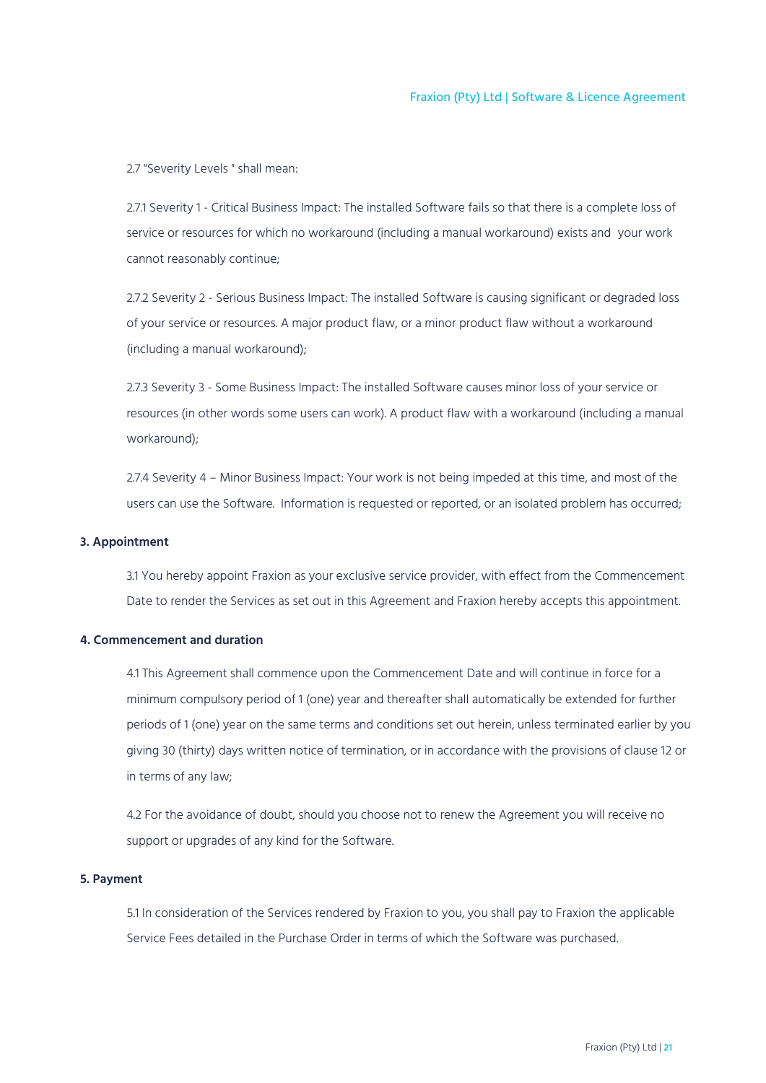2.7 "Severity Levels " shall mean:

2.7.1 Severity 1 - Critical Business Impact: The installed Software fails so that there is a complete loss of service or resources for which no workaround (including a manual workaround) exists and your work cannot reasonably continue;

2.7.2 Severity 2 - Serious Business Impact: The installed Software is causing significant or degraded loss of your service or resources. A major product flaw, or a minor product flaw without a workaround (including a manual workaround);

2.7.3 Severity 3 - Some Business Impact: The installed Software causes minor loss of your service or resources (in other words some users can work). A product flaw with a workaround (including a manual workaround);

2.7.4 Severity 4 – Minor Business Impact: Your work is not being impeded at this time, and most of the users can use the Software. Information is requested or reported, or an isolated problem has occurred;

## <span id="page-20-0"></span>**3. Appointment**

3.1 You hereby appoint Fraxion as your exclusive service provider, with effect from the Commencement Date to render the Services as set out in this Agreement and Fraxion hereby accepts this appointment.

## <span id="page-20-1"></span>**4. Commencement and duration**

4.1 This Agreement shall commence upon the Commencement Date and will continue in force for a minimum compulsory period of 1 (one) year and thereafter shall automatically be extended for further periods of 1 (one) year on the same terms and conditions set out herein, unless terminated earlier by you giving 30 (thirty) days written notice of termination, or in accordance with the provisions of clause 12 or in terms of any law;

4.2 For the avoidance of doubt, should you choose not to renew the Agreement you will receive no support or upgrades of any kind for the Software.

## <span id="page-20-2"></span>**5. Payment**

5.1 In consideration of the Services rendered by Fraxion to you, you shall pay to Fraxion the applicable Service Fees detailed in the Purchase Order in terms of which the Software was purchased.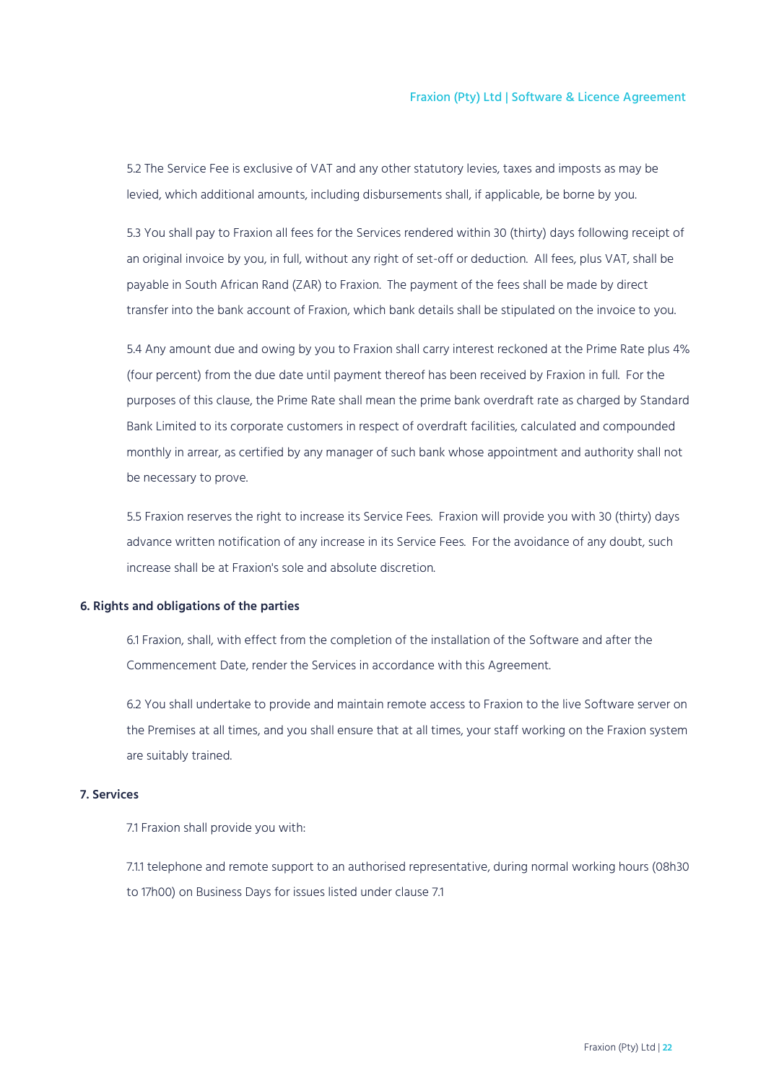5.2 The Service Fee is exclusive of VAT and any other statutory levies, taxes and imposts as may be levied, which additional amounts, including disbursements shall, if applicable, be borne by you.

5.3 You shall pay to Fraxion all fees for the Services rendered within 30 (thirty) days following receipt of an original invoice by you, in full, without any right of set-off or deduction. All fees, plus VAT, shall be payable in South African Rand (ZAR) to Fraxion. The payment of the fees shall be made by direct transfer into the bank account of Fraxion, which bank details shall be stipulated on the invoice to you.

5.4 Any amount due and owing by you to Fraxion shall carry interest reckoned at the Prime Rate plus 4% (four percent) from the due date until payment thereof has been received by Fraxion in full. For the purposes of this clause, the Prime Rate shall mean the prime bank overdraft rate as charged by Standard Bank Limited to its corporate customers in respect of overdraft facilities, calculated and compounded monthly in arrear, as certified by any manager of such bank whose appointment and authority shall not be necessary to prove.

5.5 Fraxion reserves the right to increase its Service Fees. Fraxion will provide you with 30 (thirty) days advance written notification of any increase in its Service Fees. For the avoidance of any doubt, such increase shall be at Fraxion's sole and absolute discretion.

#### <span id="page-21-0"></span>**6. Rights and obligations of the parties**

6.1 Fraxion, shall, with effect from the completion of the installation of the Software and after the Commencement Date, render the Services in accordance with this Agreement.

6.2 You shall undertake to provide and maintain remote access to Fraxion to the live Software server on the Premises at all times, and you shall ensure that at all times, your staff working on the Fraxion system are suitably trained.

### <span id="page-21-1"></span>**7. Services**

7.1 Fraxion shall provide you with:

7.1.1 telephone and remote support to an authorised representative, during normal working hours (08h30 to 17h00) on Business Days for issues listed under clause 7.1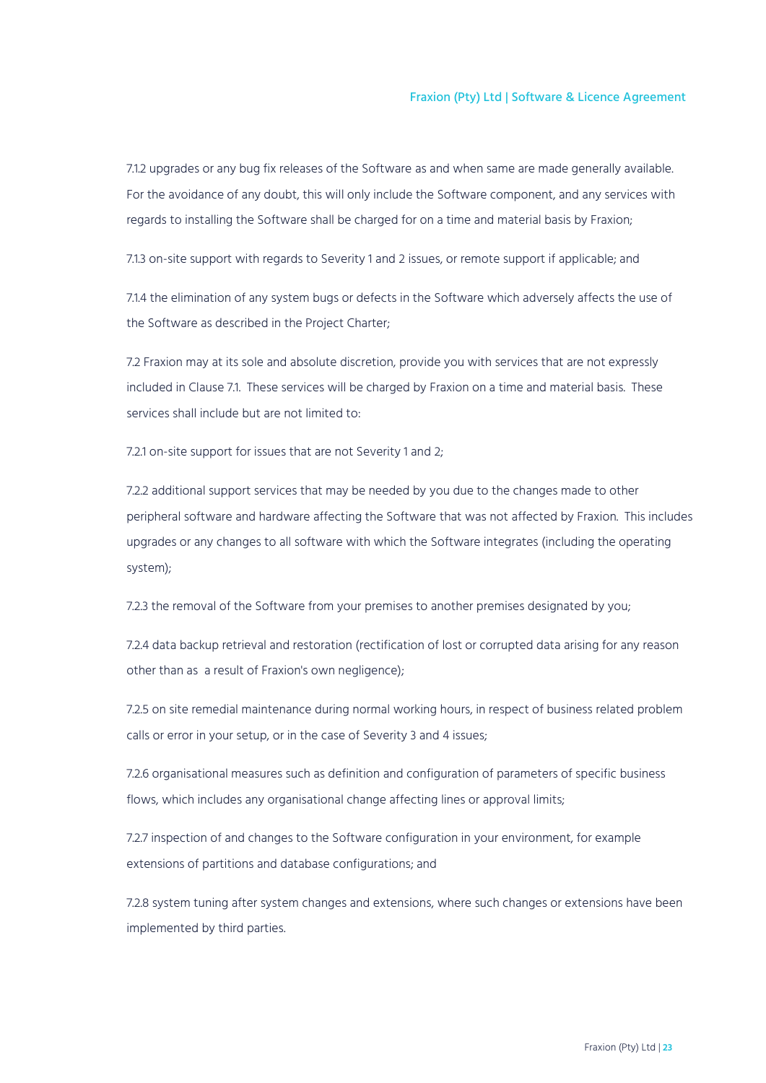7.1.2 upgrades or any bug fix releases of the Software as and when same are made generally available. For the avoidance of any doubt, this will only include the Software component, and any services with regards to installing the Software shall be charged for on a time and material basis by Fraxion;

7.1.3 on-site support with regards to Severity 1 and 2 issues, or remote support if applicable; and

7.1.4 the elimination of any system bugs or defects in the Software which adversely affects the use of the Software as described in the Project Charter;

7.2 Fraxion may at its sole and absolute discretion, provide you with services that are not expressly included in Clause 7.1. These services will be charged by Fraxion on a time and material basis. These services shall include but are not limited to:

7.2.1 on-site support for issues that are not Severity 1 and 2;

7.2.2 additional support services that may be needed by you due to the changes made to other peripheral software and hardware affecting the Software that was not affected by Fraxion. This includes upgrades or any changes to all software with which the Software integrates (including the operating system);

7.2.3 the removal of the Software from your premises to another premises designated by you;

7.2.4 data backup retrieval and restoration (rectification of lost or corrupted data arising for any reason other than as a result of Fraxion's own negligence);

7.2.5 on site remedial maintenance during normal working hours, in respect of business related problem calls or error in your setup, or in the case of Severity 3 and 4 issues;

7.2.6 organisational measures such as definition and configuration of parameters of specific business flows, which includes any organisational change affecting lines or approval limits;

7.2.7 inspection of and changes to the Software configuration in your environment, for example extensions of partitions and database configurations; and

7.2.8 system tuning after system changes and extensions, where such changes or extensions have been implemented by third parties.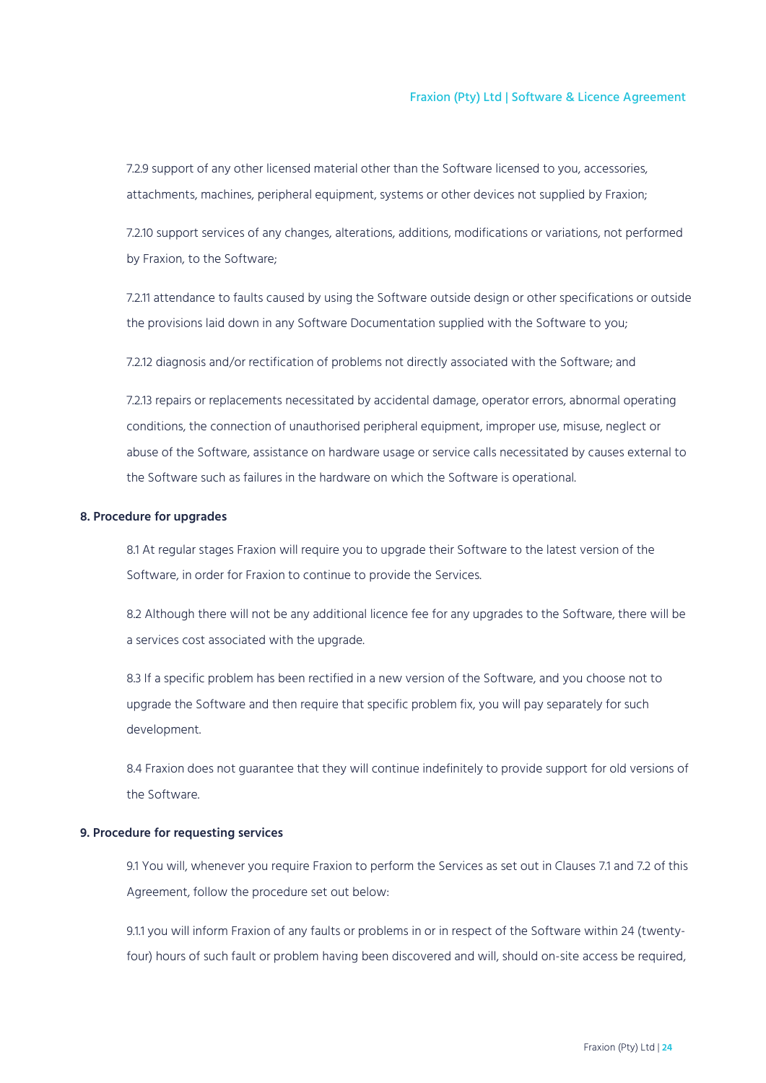7.2.9 support of any other licensed material other than the Software licensed to you, accessories, attachments, machines, peripheral equipment, systems or other devices not supplied by Fraxion;

7.2.10 support services of any changes, alterations, additions, modifications or variations, not performed by Fraxion, to the Software;

7.2.11 attendance to faults caused by using the Software outside design or other specifications or outside the provisions laid down in any Software Documentation supplied with the Software to you;

7.2.12 diagnosis and/or rectification of problems not directly associated with the Software; and

7.2.13 repairs or replacements necessitated by accidental damage, operator errors, abnormal operating conditions, the connection of unauthorised peripheral equipment, improper use, misuse, neglect or abuse of the Software, assistance on hardware usage or service calls necessitated by causes external to the Software such as failures in the hardware on which the Software is operational.

## <span id="page-23-0"></span>**8. Procedure for upgrades**

8.1 At regular stages Fraxion will require you to upgrade their Software to the latest version of the Software, in order for Fraxion to continue to provide the Services.

8.2 Although there will not be any additional licence fee for any upgrades to the Software, there will be a services cost associated with the upgrade.

8.3 If a specific problem has been rectified in a new version of the Software, and you choose not to upgrade the Software and then require that specific problem fix, you will pay separately for such development.

8.4 Fraxion does not guarantee that they will continue indefinitely to provide support for old versions of the Software.

## <span id="page-23-1"></span>**9. Procedure for requesting services**

9.1 You will, whenever you require Fraxion to perform the Services as set out in Clauses 7.1 and 7.2 of this Agreement, follow the procedure set out below:

9.1.1 you will inform Fraxion of any faults or problems in or in respect of the Software within 24 (twentyfour) hours of such fault or problem having been discovered and will, should on-site access be required,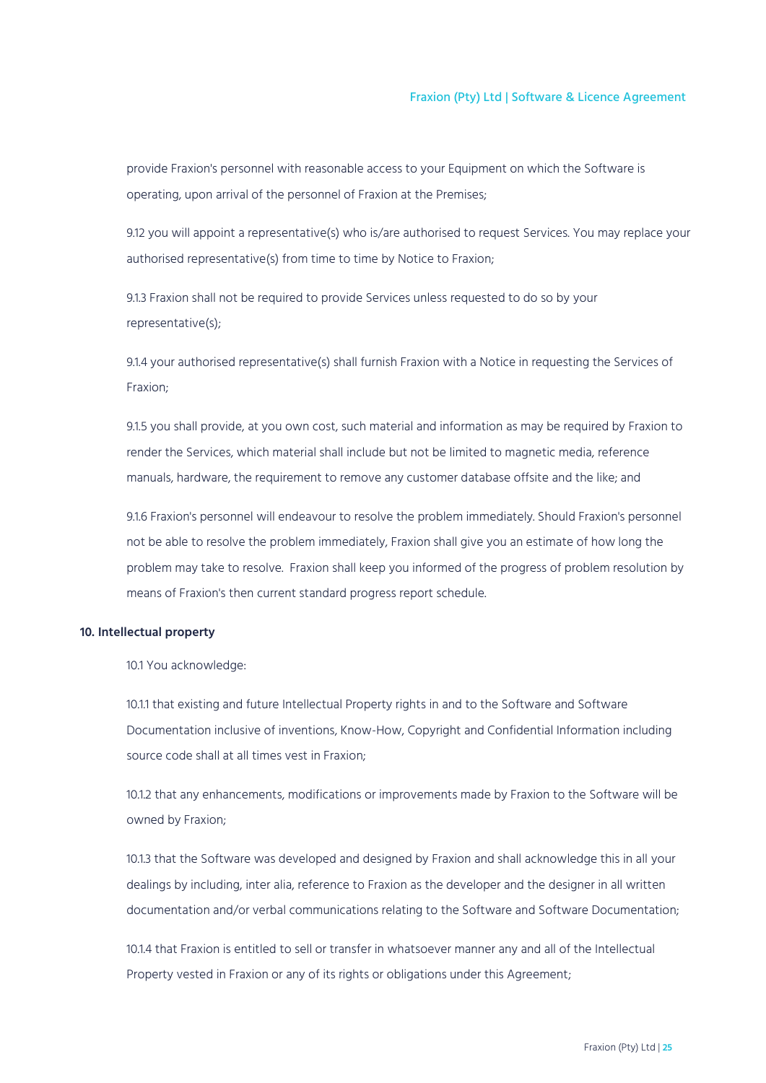provide Fraxion's personnel with reasonable access to your Equipment on which the Software is operating, upon arrival of the personnel of Fraxion at the Premises;

9.12 you will appoint a representative(s) who is/are authorised to request Services. You may replace your authorised representative(s) from time to time by Notice to Fraxion;

9.1.3 Fraxion shall not be required to provide Services unless requested to do so by your representative(s);

9.1.4 your authorised representative(s) shall furnish Fraxion with a Notice in requesting the Services of Fraxion;

9.1.5 you shall provide, at you own cost, such material and information as may be required by Fraxion to render the Services, which material shall include but not be limited to magnetic media, reference manuals, hardware, the requirement to remove any customer database offsite and the like; and

9.1.6 Fraxion's personnel will endeavour to resolve the problem immediately. Should Fraxion's personnel not be able to resolve the problem immediately, Fraxion shall give you an estimate of how long the problem may take to resolve. Fraxion shall keep you informed of the progress of problem resolution by means of Fraxion's then current standard progress report schedule.

## <span id="page-24-0"></span>**10. Intellectual property**

10.1 You acknowledge:

10.1.1 that existing and future Intellectual Property rights in and to the Software and Software Documentation inclusive of inventions, Know-How, Copyright and Confidential Information including source code shall at all times vest in Fraxion;

10.1.2 that any enhancements, modifications or improvements made by Fraxion to the Software will be owned by Fraxion;

10.1.3 that the Software was developed and designed by Fraxion and shall acknowledge this in all your dealings by including, inter alia, reference to Fraxion as the developer and the designer in all written documentation and/or verbal communications relating to the Software and Software Documentation;

10.1.4 that Fraxion is entitled to sell or transfer in whatsoever manner any and all of the Intellectual Property vested in Fraxion or any of its rights or obligations under this Agreement;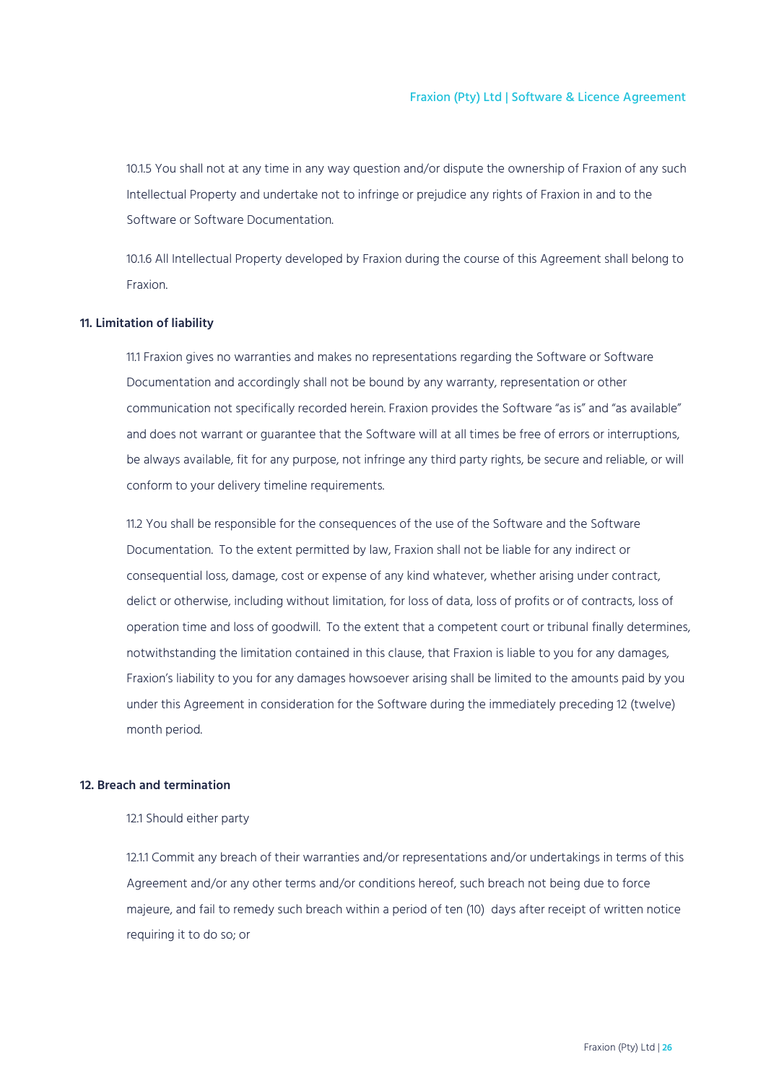10.1.5 You shall not at any time in any way question and/or dispute the ownership of Fraxion of any such Intellectual Property and undertake not to infringe or prejudice any rights of Fraxion in and to the Software or Software Documentation.

10.1.6 All Intellectual Property developed by Fraxion during the course of this Agreement shall belong to Fraxion.

#### <span id="page-25-0"></span>**11. Limitation of liability**

11.1 Fraxion gives no warranties and makes no representations regarding the Software or Software Documentation and accordingly shall not be bound by any warranty, representation or other communication not specifically recorded herein. Fraxion provides the Software "as is" and "as available" and does not warrant or guarantee that the Software will at all times be free of errors or interruptions, be always available, fit for any purpose, not infringe any third party rights, be secure and reliable, or will conform to your delivery timeline requirements.

11.2 You shall be responsible for the consequences of the use of the Software and the Software Documentation. To the extent permitted by law, Fraxion shall not be liable for any indirect or consequential loss, damage, cost or expense of any kind whatever, whether arising under contract, delict or otherwise, including without limitation, for loss of data, loss of profits or of contracts, loss of operation time and loss of goodwill. To the extent that a competent court or tribunal finally determines, notwithstanding the limitation contained in this clause, that Fraxion is liable to you for any damages, Fraxion's liability to you for any damages howsoever arising shall be limited to the amounts paid by you under this Agreement in consideration for the Software during the immediately preceding 12 (twelve) month period.

## <span id="page-25-1"></span>**12. Breach and termination**

12.1 Should either party

12.1.1 Commit any breach of their warranties and/or representations and/or undertakings in terms of this Agreement and/or any other terms and/or conditions hereof, such breach not being due to force majeure, and fail to remedy such breach within a period of ten (10) days after receipt of written notice requiring it to do so; or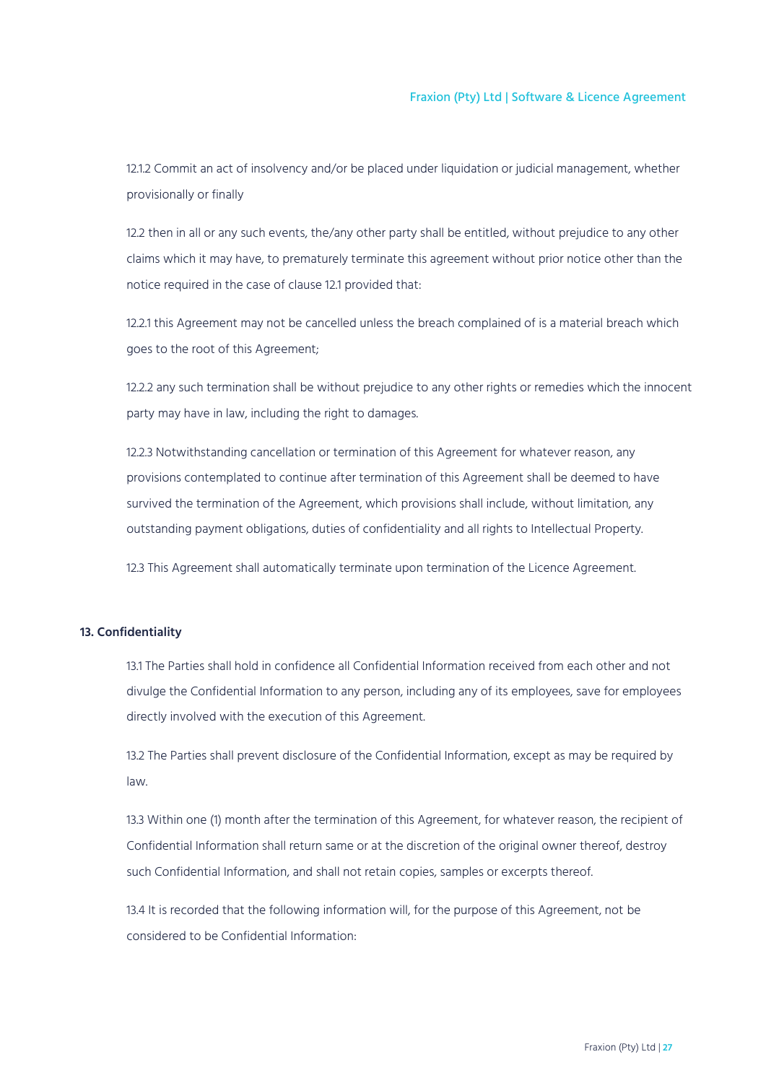12.1.2 Commit an act of insolvency and/or be placed under liquidation or judicial management, whether provisionally or finally

12.2 then in all or any such events, the/any other party shall be entitled, without prejudice to any other claims which it may have, to prematurely terminate this agreement without prior notice other than the notice required in the case of clause 12.1 provided that:

12.2.1 this Agreement may not be cancelled unless the breach complained of is a material breach which goes to the root of this Agreement;

12.2.2 any such termination shall be without prejudice to any other rights or remedies which the innocent party may have in law, including the right to damages.

12.2.3 Notwithstanding cancellation or termination of this Agreement for whatever reason, any provisions contemplated to continue after termination of this Agreement shall be deemed to have survived the termination of the Agreement, which provisions shall include, without limitation, any outstanding payment obligations, duties of confidentiality and all rights to Intellectual Property.

12.3 This Agreement shall automatically terminate upon termination of the Licence Agreement.

## <span id="page-26-0"></span>**13. Confidentiality**

13.1 The Parties shall hold in confidence all Confidential Information received from each other and not divulge the Confidential Information to any person, including any of its employees, save for employees directly involved with the execution of this Agreement.

13.2 The Parties shall prevent disclosure of the Confidential Information, except as may be required by law.

13.3 Within one (1) month after the termination of this Agreement, for whatever reason, the recipient of Confidential Information shall return same or at the discretion of the original owner thereof, destroy such Confidential Information, and shall not retain copies, samples or excerpts thereof.

13.4 It is recorded that the following information will, for the purpose of this Agreement, not be considered to be Confidential Information: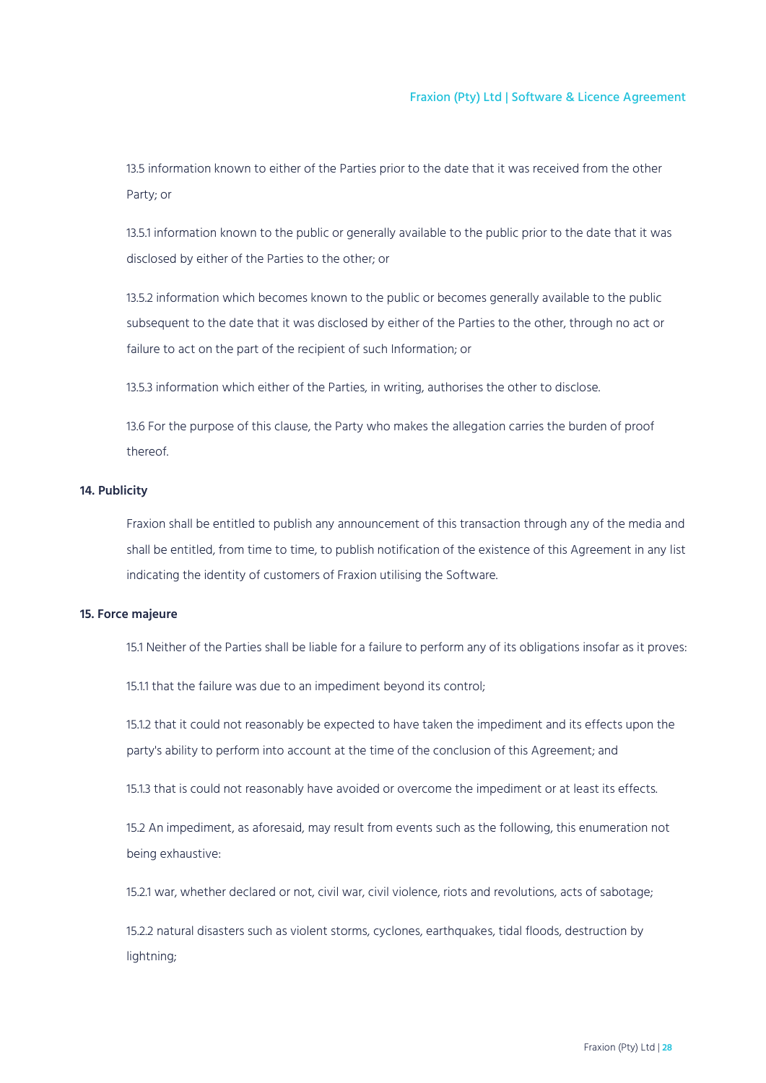13.5 information known to either of the Parties prior to the date that it was received from the other Party; or

13.5.1 information known to the public or generally available to the public prior to the date that it was disclosed by either of the Parties to the other; or

13.5.2 information which becomes known to the public or becomes generally available to the public subsequent to the date that it was disclosed by either of the Parties to the other, through no act or failure to act on the part of the recipient of such Information; or

13.5.3 information which either of the Parties, in writing, authorises the other to disclose.

13.6 For the purpose of this clause, the Party who makes the allegation carries the burden of proof thereof.

## <span id="page-27-0"></span>**14. Publicity**

Fraxion shall be entitled to publish any announcement of this transaction through any of the media and shall be entitled, from time to time, to publish notification of the existence of this Agreement in any list indicating the identity of customers of Fraxion utilising the Software.

## <span id="page-27-1"></span>**15. Force majeure**

15.1 Neither of the Parties shall be liable for a failure to perform any of its obligations insofar as it proves:

15.1.1 that the failure was due to an impediment beyond its control;

15.1.2 that it could not reasonably be expected to have taken the impediment and its effects upon the party's ability to perform into account at the time of the conclusion of this Agreement; and

15.1.3 that is could not reasonably have avoided or overcome the impediment or at least its effects.

15.2 An impediment, as aforesaid, may result from events such as the following, this enumeration not being exhaustive:

15.2.1 war, whether declared or not, civil war, civil violence, riots and revolutions, acts of sabotage;

15.2.2 natural disasters such as violent storms, cyclones, earthquakes, tidal floods, destruction by lightning;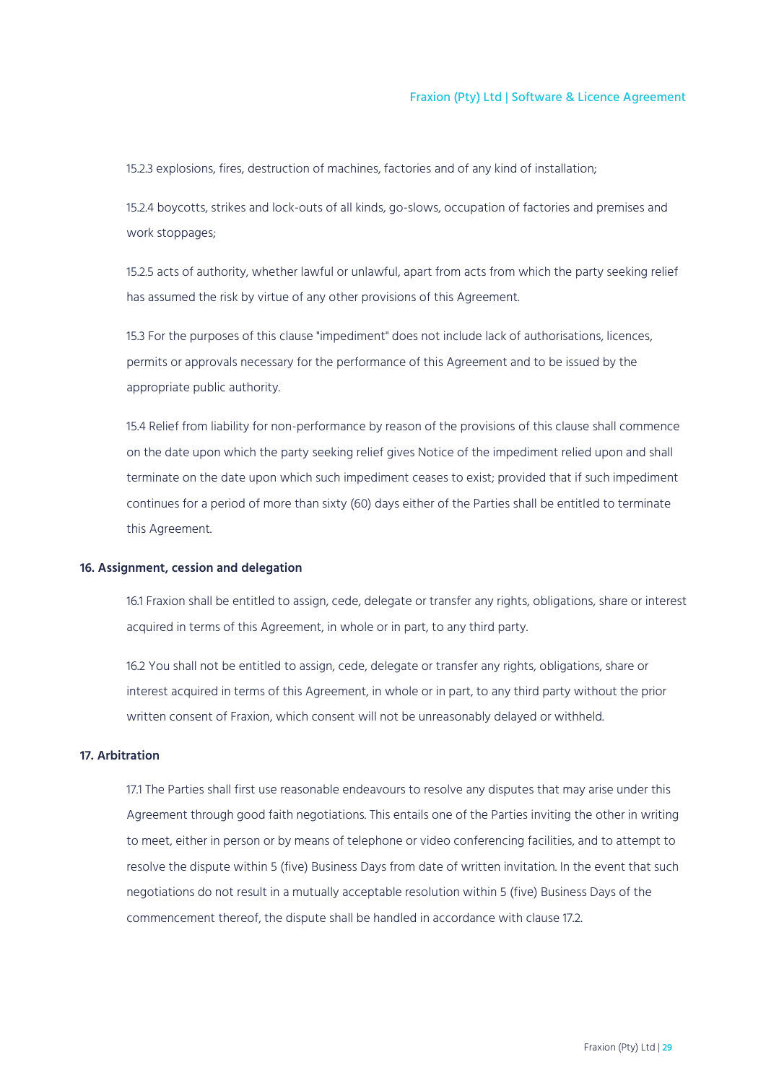15.2.3 explosions, fires, destruction of machines, factories and of any kind of installation;

15.2.4 boycotts, strikes and lock-outs of all kinds, go-slows, occupation of factories and premises and work stoppages;

15.2.5 acts of authority, whether lawful or unlawful, apart from acts from which the party seeking relief has assumed the risk by virtue of any other provisions of this Agreement.

15.3 For the purposes of this clause "impediment" does not include lack of authorisations, licences, permits or approvals necessary for the performance of this Agreement and to be issued by the appropriate public authority.

15.4 Relief from liability for non-performance by reason of the provisions of this clause shall commence on the date upon which the party seeking relief gives Notice of the impediment relied upon and shall terminate on the date upon which such impediment ceases to exist; provided that if such impediment continues for a period of more than sixty (60) days either of the Parties shall be entitled to terminate this Agreement.

## <span id="page-28-0"></span>**16. Assignment, cession and delegation**

16.1 Fraxion shall be entitled to assign, cede, delegate or transfer any rights, obligations, share or interest acquired in terms of this Agreement, in whole or in part, to any third party.

16.2 You shall not be entitled to assign, cede, delegate or transfer any rights, obligations, share or interest acquired in terms of this Agreement, in whole or in part, to any third party without the prior written consent of Fraxion, which consent will not be unreasonably delayed or withheld.

## <span id="page-28-1"></span>**17. Arbitration**

17.1 The Parties shall first use reasonable endeavours to resolve any disputes that may arise under this Agreement through good faith negotiations. This entails one of the Parties inviting the other in writing to meet, either in person or by means of telephone or video conferencing facilities, and to attempt to resolve the dispute within 5 (five) Business Days from date of written invitation. In the event that such negotiations do not result in a mutually acceptable resolution within 5 (five) Business Days of the commencement thereof, the dispute shall be handled in accordance with clause 17.2.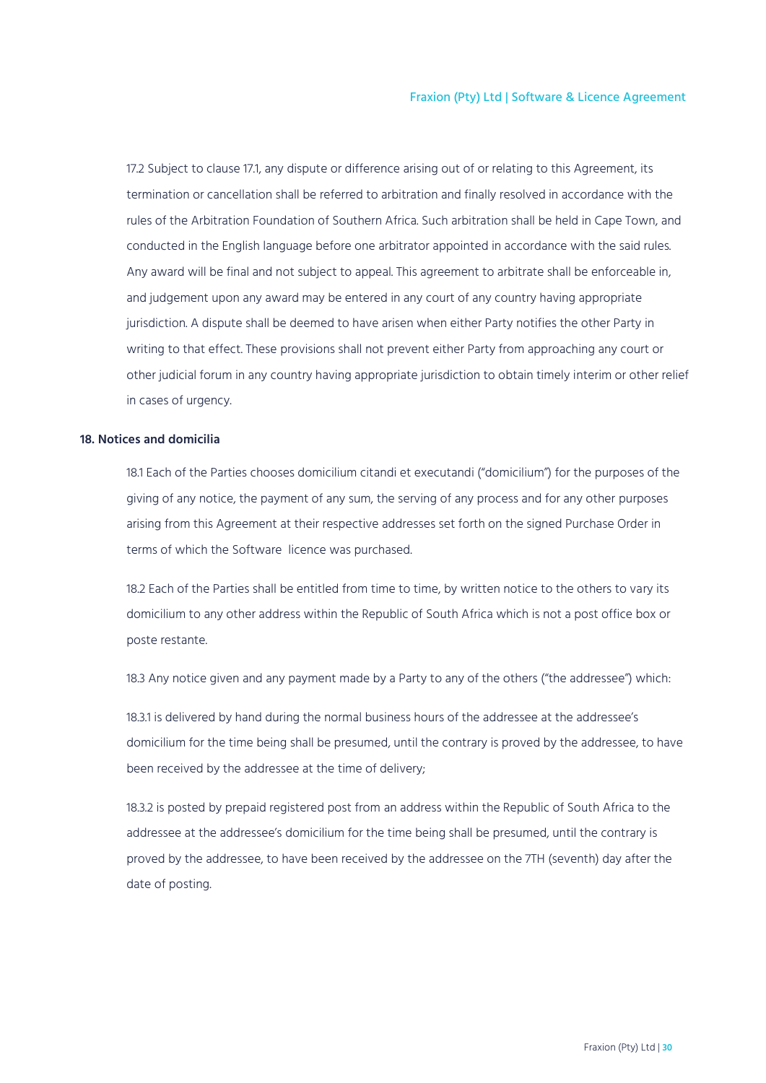17.2 Subject to clause 17.1, any dispute or difference arising out of or relating to this Agreement, its termination or cancellation shall be referred to arbitration and finally resolved in accordance with the rules of the Arbitration Foundation of Southern Africa. Such arbitration shall be held in Cape Town, and conducted in the English language before one arbitrator appointed in accordance with the said rules. Any award will be final and not subject to appeal. This agreement to arbitrate shall be enforceable in, and judgement upon any award may be entered in any court of any country having appropriate jurisdiction. A dispute shall be deemed to have arisen when either Party notifies the other Party in writing to that effect. These provisions shall not prevent either Party from approaching any court or other judicial forum in any country having appropriate jurisdiction to obtain timely interim or other relief in cases of urgency.

## <span id="page-29-0"></span>**18. Notices and domicilia**

18.1 Each of the Parties chooses domicilium citandi et executandi ("domicilium") for the purposes of the giving of any notice, the payment of any sum, the serving of any process and for any other purposes arising from this Agreement at their respective addresses set forth on the signed Purchase Order in terms of which the Software licence was purchased.

18.2 Each of the Parties shall be entitled from time to time, by written notice to the others to vary its domicilium to any other address within the Republic of South Africa which is not a post office box or poste restante.

18.3 Any notice given and any payment made by a Party to any of the others ("the addressee") which:

18.3.1 is delivered by hand during the normal business hours of the addressee at the addressee's domicilium for the time being shall be presumed, until the contrary is proved by the addressee, to have been received by the addressee at the time of delivery;

18.3.2 is posted by prepaid registered post from an address within the Republic of South Africa to the addressee at the addressee's domicilium for the time being shall be presumed, until the contrary is proved by the addressee, to have been received by the addressee on the 7TH (seventh) day after the date of posting.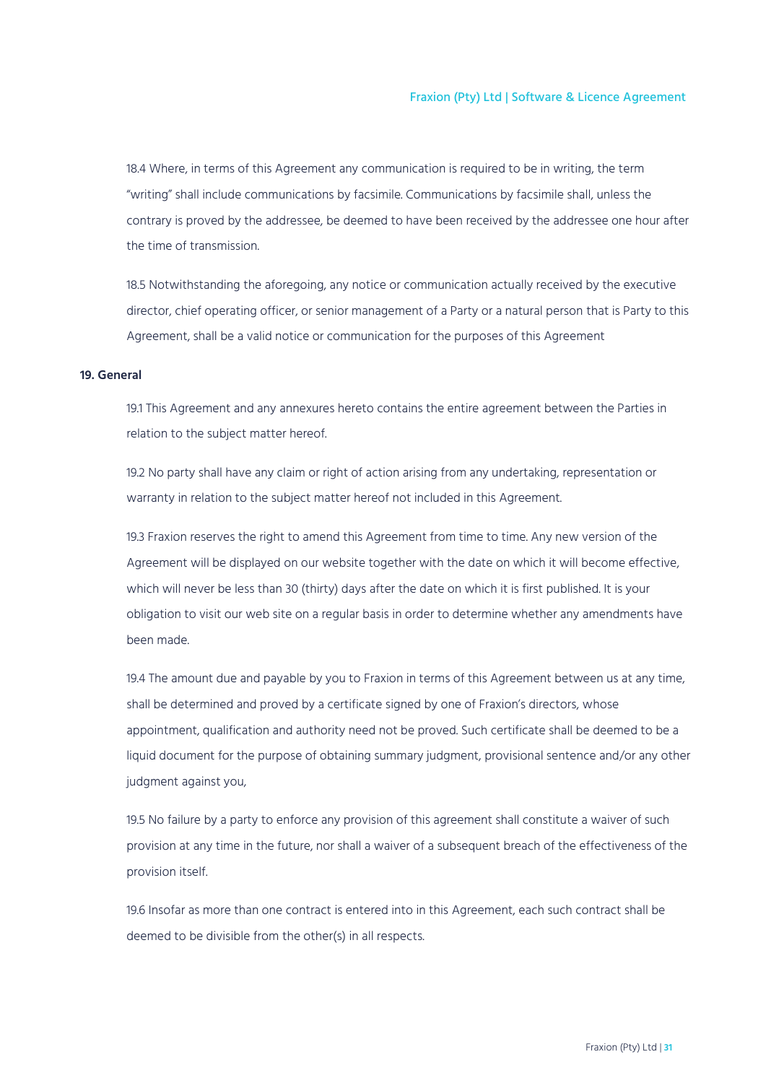18.4 Where, in terms of this Agreement any communication is required to be in writing, the term "writing" shall include communications by facsimile. Communications by facsimile shall, unless the contrary is proved by the addressee, be deemed to have been received by the addressee one hour after the time of transmission.

18.5 Notwithstanding the aforegoing, any notice or communication actually received by the executive director, chief operating officer, or senior management of a Party or a natural person that is Party to this Agreement, shall be a valid notice or communication for the purposes of this Agreement

## <span id="page-30-0"></span>**19. General**

19.1 This Agreement and any annexures hereto contains the entire agreement between the Parties in relation to the subject matter hereof.

19.2 No party shall have any claim or right of action arising from any undertaking, representation or warranty in relation to the subject matter hereof not included in this Agreement.

19.3 Fraxion reserves the right to amend this Agreement from time to time. Any new version of the Agreement will be displayed on our website together with the date on which it will become effective, which will never be less than 30 (thirty) days after the date on which it is first published. It is your obligation to visit our web site on a regular basis in order to determine whether any amendments have been made.

19.4 The amount due and payable by you to Fraxion in terms of this Agreement between us at any time, shall be determined and proved by a certificate signed by one of Fraxion's directors, whose appointment, qualification and authority need not be proved. Such certificate shall be deemed to be a liquid document for the purpose of obtaining summary judgment, provisional sentence and/or any other judgment against you,

19.5 No failure by a party to enforce any provision of this agreement shall constitute a waiver of such provision at any time in the future, nor shall a waiver of a subsequent breach of the effectiveness of the provision itself.

19.6 Insofar as more than one contract is entered into in this Agreement, each such contract shall be deemed to be divisible from the other(s) in all respects.